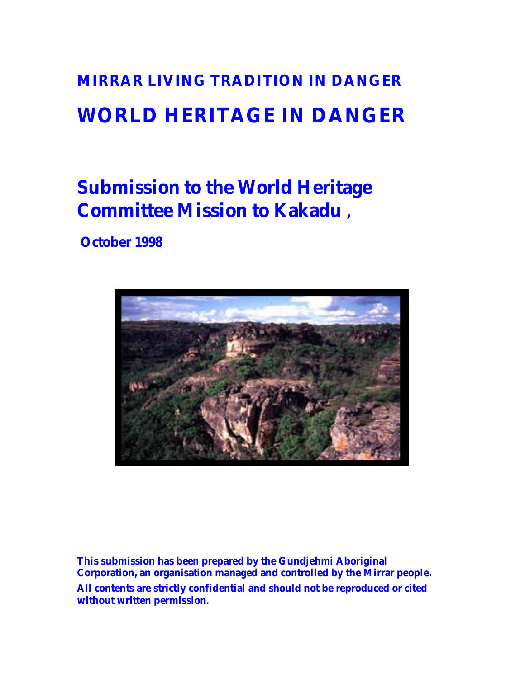# **MIRRAR LIVING TRADITION IN DANGER WORLD HERITAGE IN DANGER**

# **Submission to the World Heritage Committee Mission to Kakadu ,**

# **October 1998**



**This submission has been prepared by the Gundjehmi Aboriginal Corporation, an organisation managed and controlled by the Mirrar people. All contents are strictly confidential and should not be reproduced or cited without written permission.**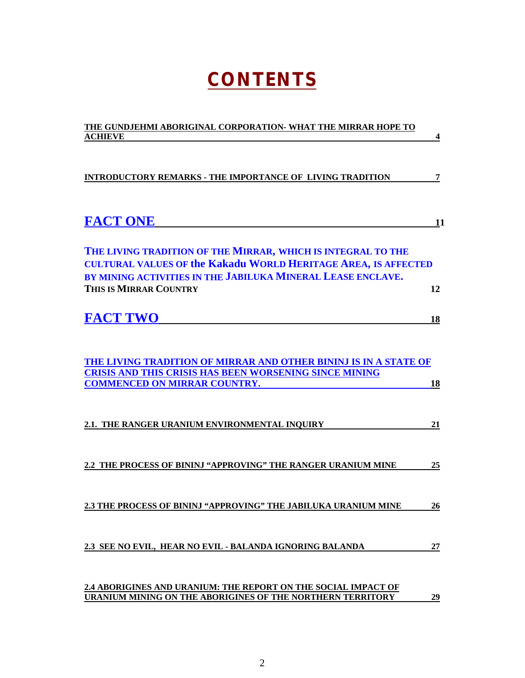# **CONTENTS**

| THE GUNDJEHMI ABORIGINAL CORPORATION- WHAT THE MIRRAR HOPE TO                                                                                                                                                                        |
|--------------------------------------------------------------------------------------------------------------------------------------------------------------------------------------------------------------------------------------|
| <b>ACHIEVE</b><br>4                                                                                                                                                                                                                  |
| <b>INTRODUCTORY REMARKS - THE IMPORTANCE OF LIVING TRADITION</b><br>7                                                                                                                                                                |
| <b>FACT ONE</b><br>11                                                                                                                                                                                                                |
| THE LIVING TRADITION OF THE MIRRAR, WHICH IS INTEGRAL TO THE<br><b>CULTURAL VALUES OF the Kakadu WORLD HERITAGE AREA, IS AFFECTED</b><br>BY MINING ACTIVITIES IN THE JABILUKA MINERAL LEASE ENCLAVE.<br>THIS IS MIRRAR COUNTRY<br>12 |
| <b>FACT TWO</b><br>18                                                                                                                                                                                                                |
| THE LIVING TRADITION OF MIRRAR AND OTHER BININJ IS IN A STATE OF<br><b>CRISIS AND THIS CRISIS HAS BEEN WORSENING SINCE MINING</b><br><b>COMMENCED ON MIRRAR COUNTRY.</b><br>18                                                       |
| 2.1. THE RANGER URANIUM ENVIRONMENTAL INQUIRY<br>21                                                                                                                                                                                  |
| 2.2 THE PROCESS OF BININJ "APPROVING" THE RANGER URANIUM MINE<br>25                                                                                                                                                                  |
| 2.3 THE PROCESS OF BININJ "APPROVING" THE JABILUKA URANIUM MINE<br>26                                                                                                                                                                |
| 2.3 SEE NO EVIL, HEAR NO EVIL - BALANDA IGNORING BALANDA<br>27                                                                                                                                                                       |
| 2.4 ABORIGINES AND URANIUM: THE REPORT ON THE SOCIAL IMPACT OF<br>URANIUM MINING ON THE ABORIGINES OF THE NORTHERN TERRITORY<br>29                                                                                                   |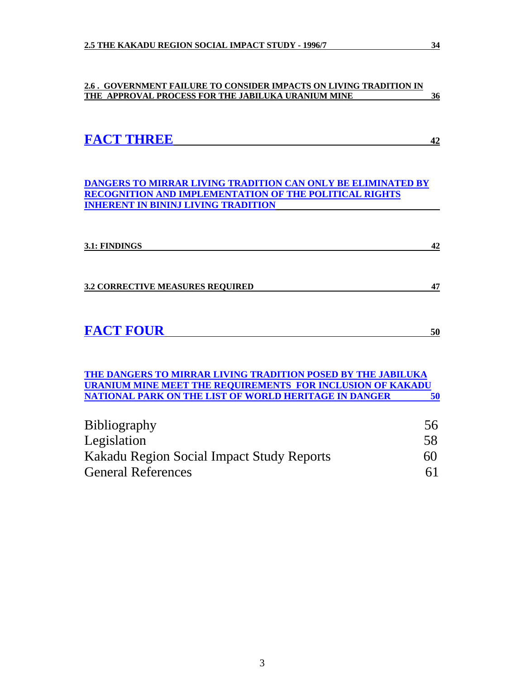#### **2.6 . GOVERNMENT FAILURE TO CONSIDER IMPACTS ON LIVING TRADITION IN THE APPROVAL PROCESS FOR THE JABILUKA URANIUM MINE 36**

| <b>FACT THREE</b> |  |
|-------------------|--|
|                   |  |

**DANGERS TO MIRRAR LIVING TRADITION CAN ONLY BE ELIMINATED BY RECOGNITION AND IMPLEMENTATION OF THE POLITICAL RIGHTS INHERENT IN BININJ LIVING TRADITION** 

| 3.1: FINDINGS                           | 42 |
|-----------------------------------------|----|
| <b>3.2 CORRECTIVE MEASURES REQUIRED</b> | 17 |
|                                         |    |

| <b>FACT FOUR</b> |  |
|------------------|--|
|                  |  |

**THE DANGERS TO MIRRAR LIVING TRADITION POSED BY THE JABILUKA URANIUM MINE MEET THE REQUIREMENTS FOR INCLUSION OF KAKADU NATIONAL PARK ON THE LIST OF WORLD HERITAGE IN DANGER 50**

| <b>Bibliography</b>                       | 56 |
|-------------------------------------------|----|
| Legislation                               | 58 |
| Kakadu Region Social Impact Study Reports | 60 |
| <b>General References</b>                 | 61 |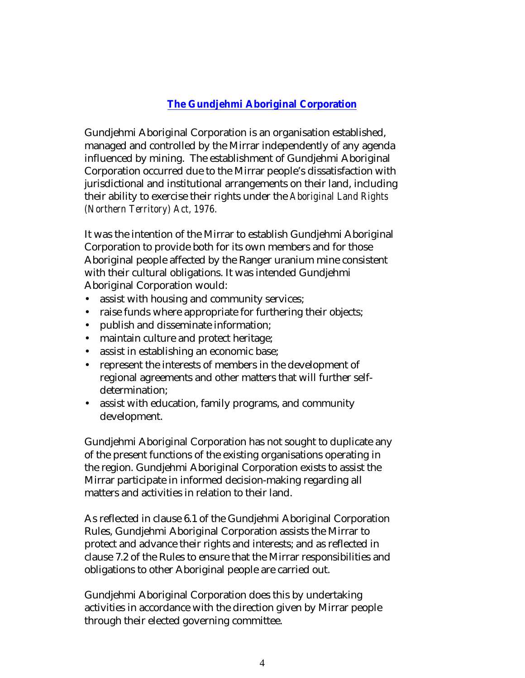## **The Gundjehmi Aboriginal Corporation**

Gundjehmi Aboriginal Corporation is an organisation established, managed and controlled by the Mirrar independently of any agenda influenced by mining. The establishment of Gundjehmi Aboriginal Corporation occurred due to the Mirrar people's dissatisfaction with jurisdictional and institutional arrangements on their land, including their ability to exercise their rights under the *Aboriginal Land Rights (Northern Territory) Act, 1976.*

It was the intention of the Mirrar to establish Gundjehmi Aboriginal Corporation to provide both for its own members and for those Aboriginal people affected by the Ranger uranium mine consistent with their cultural obligations. It was intended Gundjehmi Aboriginal Corporation would:

- assist with housing and community services;
- raise funds where appropriate for furthering their objects;
- publish and disseminate information;
- maintain culture and protect heritage;
- assist in establishing an economic base;
- represent the interests of members in the development of regional agreements and other matters that will further selfdetermination;
- assist with education, family programs, and community development.

Gundjehmi Aboriginal Corporation has not sought to duplicate any of the present functions of the existing organisations operating in the region. Gundjehmi Aboriginal Corporation exists to assist the Mirrar participate in informed decision-making regarding all matters and activities in relation to their land.

As reflected in clause 6.1 of the Gundjehmi Aboriginal Corporation Rules, Gundjehmi Aboriginal Corporation assists the Mirrar to protect and advance their rights and interests; and as reflected in clause 7.2 of the Rules to ensure that the Mirrar responsibilities and obligations to other Aboriginal people are carried out.

Gundjehmi Aboriginal Corporation does this by undertaking activities in accordance with the direction given by Mirrar people through their elected governing committee.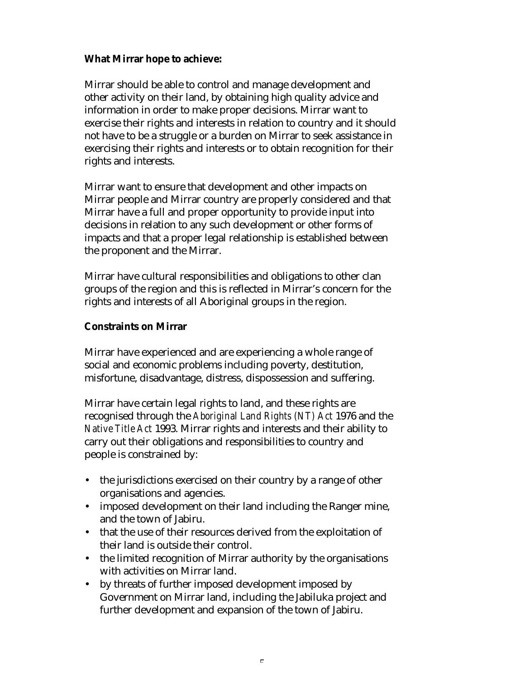## **What Mirrar hope to achieve:**

Mirrar should be able to control and manage development and other activity on their land, by obtaining high quality advice and information in order to make proper decisions. Mirrar want to exercise their rights and interests in relation to country and it should not have to be a struggle or a burden on Mirrar to seek assistance in exercising their rights and interests or to obtain recognition for their rights and interests.

Mirrar want to ensure that development and other impacts on Mirrar people and Mirrar country are properly considered and that Mirrar have a full and proper opportunity to provide input into decisions in relation to any such development or other forms of impacts and that a proper legal relationship is established between the proponent and the Mirrar.

Mirrar have cultural responsibilities and obligations to other clan groups of the region and this is reflected in Mirrar's concern for the rights and interests of all Aboriginal groups in the region.

## **Constraints on Mirrar**

Mirrar have experienced and are experiencing a whole range of social and economic problems including poverty, destitution, misfortune, disadvantage, distress, dispossession and suffering.

Mirrar have certain legal rights to land, and these rights are recognised through the *Aboriginal Land Rights (NT) Act* 1976 and the *Native Title Act* 1993. Mirrar rights and interests and their ability to carry out their obligations and responsibilities to country and people is constrained by:

- the jurisdictions exercised on their country by a range of other organisations and agencies.
- imposed development on their land including the Ranger mine, and the town of Jabiru.
- that the use of their resources derived from the exploitation of their land is outside their control.
- the limited recognition of Mirrar authority by the organisations with activities on Mirrar land.
- by threats of further imposed development imposed by Government on Mirrar land, including the Jabiluka project and further development and expansion of the town of Jabiru.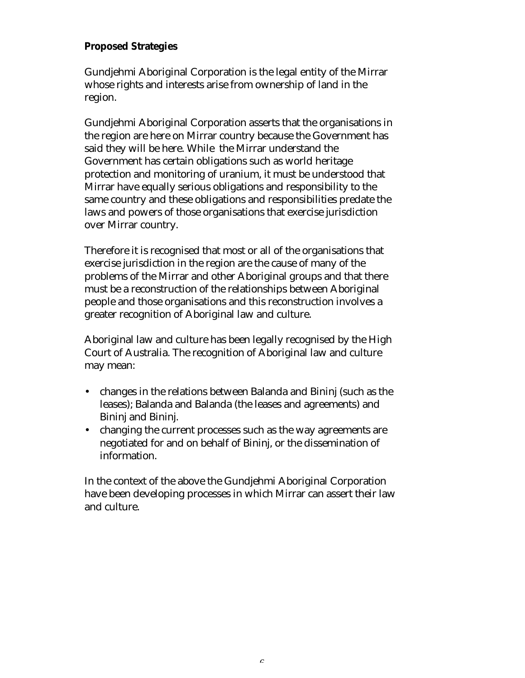## **Proposed Strategies**

Gundjehmi Aboriginal Corporation is the legal entity of the Mirrar whose rights and interests arise from ownership of land in the region.

Gundjehmi Aboriginal Corporation asserts that the organisations in the region are here on Mirrar country because the Government has said they will be here. While the Mirrar understand the Government has certain obligations such as world heritage protection and monitoring of uranium, it must be understood that Mirrar have equally serious obligations and responsibility to the same country and these obligations and responsibilities predate the laws and powers of those organisations that exercise jurisdiction over Mirrar country.

Therefore it is recognised that most or all of the organisations that exercise jurisdiction in the region are the cause of many of the problems of the Mirrar and other Aboriginal groups and that there must be a reconstruction of the relationships between Aboriginal people and those organisations and this reconstruction involves a greater recognition of Aboriginal law and culture.

Aboriginal law and culture has been legally recognised by the High Court of Australia. The recognition of Aboriginal law and culture may mean:

- changes in the relations between Balanda and Bininj (such as the leases); Balanda and Balanda (the leases and agreements) and Bininj and Bininj.
- changing the current processes such as the way agreements are negotiated for and on behalf of Bininj, or the dissemination of information.

In the context of the above the Gundjehmi Aboriginal Corporation have been developing processes in which Mirrar can assert their law and culture.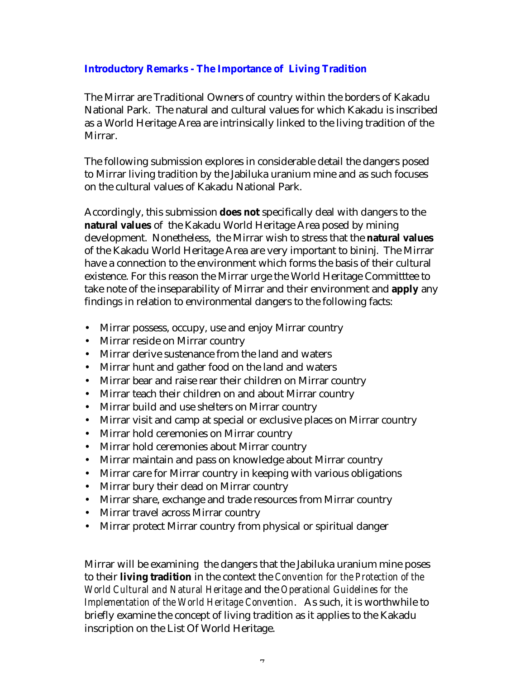## **Introductory Remarks - The Importance of Living Tradition**

The Mirrar are Traditional Owners of country within the borders of Kakadu National Park. The natural and cultural values for which Kakadu is inscribed as a World Heritage Area are intrinsically linked to the living tradition of the Mirrar.

The following submission explores in considerable detail the dangers posed to Mirrar living tradition by the Jabiluka uranium mine and as such focuses on the cultural values of Kakadu National Park.

Accordingly, this submission **does not** specifically deal with dangers to the **natural values** of the Kakadu World Heritage Area posed by mining development. Nonetheless, the Mirrar wish to stress that the **natural values** of the Kakadu World Heritage Area are very important to bininj. The Mirrar have a connection to the environment which forms the basis of their cultural existence. For this reason the Mirrar urge the World Heritage Committtee to take note of the inseparability of Mirrar and their environment and **apply** any findings in relation to environmental dangers to the following facts:

- Mirrar possess, occupy, use and enjoy Mirrar country
- Mirrar reside on Mirrar country
- Mirrar derive sustenance from the land and waters
- Mirrar hunt and gather food on the land and waters
- Mirrar bear and raise rear their children on Mirrar country
- Mirrar teach their children on and about Mirrar country
- Mirrar build and use shelters on Mirrar country
- Mirrar visit and camp at special or exclusive places on Mirrar country
- Mirrar hold ceremonies on Mirrar country
- Mirrar hold ceremonies about Mirrar country
- Mirrar maintain and pass on knowledge about Mirrar country
- Mirrar care for Mirrar country in keeping with various obligations
- Mirrar bury their dead on Mirrar country
- Mirrar share, exchange and trade resources from Mirrar country
- Mirrar travel across Mirrar country
- Mirrar protect Mirrar country from physical or spiritual danger

Mirrar will be examining the dangers that the Jabiluka uranium mine poses to their **living tradition** in the context the *Convention for the Protection of the World Cultural and Natural Heritage* and the *Operational Guidelines for the Implementation of the World Heritage Convention*. As such, it is worthwhile to briefly examine the concept of living tradition as it applies to the Kakadu inscription on the List Of World Heritage.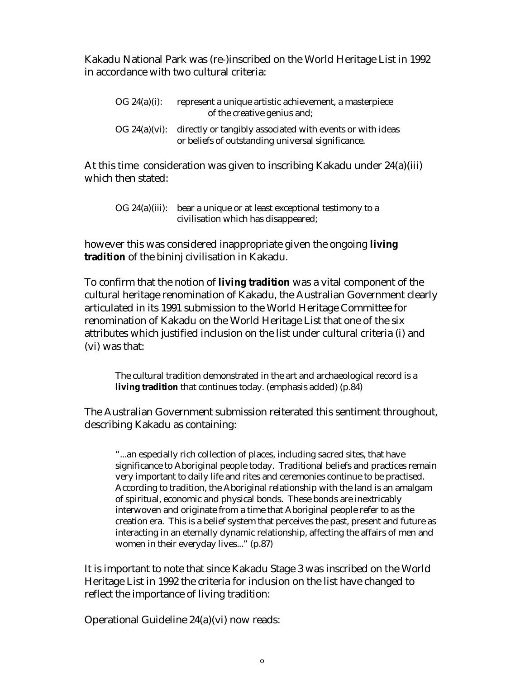Kakadu National Park was (re-)inscribed on the World Heritage List in 1992 in accordance with two cultural criteria:

| OG 24(a)(i): | represent a unique artistic achievement, a masterpiece<br>of the creative genius and;                                        |
|--------------|------------------------------------------------------------------------------------------------------------------------------|
|              | OG 24(a)(vi): directly or tangibly associated with events or with ideas<br>or beliefs of outstanding universal significance. |

At this time consideration was given to inscribing Kakadu under 24(a)(iii) which then stated:

| OG 24(a)(iii): bear a unique or at least exceptional testimony to a |
|---------------------------------------------------------------------|
| civilisation which has disappeared;                                 |

however this was considered inappropriate given the ongoing **living tradition** of the bininj civilisation in Kakadu.

To confirm that the notion of **living tradition** was a vital component of the cultural heritage renomination of Kakadu, the Australian Government clearly articulated in its 1991 submission to the World Heritage Committee for renomination of Kakadu on the World Heritage List that one of the six attributes which justified inclusion on the list under cultural criteria (i) and (vi) was that:

The cultural tradition demonstrated in the art and archaeological record is a **living tradition** that continues today. (emphasis added) (p.84)

The Australian Government submission reiterated this sentiment throughout, describing Kakadu as containing:

"...an especially rich collection of places, including sacred sites, that have significance to Aboriginal people today. Traditional beliefs and practices remain very important to daily life and rites and ceremonies continue to be practised. According to tradition, the Aboriginal relationship with the land is an amalgam of spiritual, economic and physical bonds. These bonds are inextricably interwoven and originate from a time that Aboriginal people refer to as the creation era. This is a belief system that perceives the past, present and future as interacting in an eternally dynamic relationship, affecting the affairs of men and women in their everyday lives..." (p.87)

It is important to note that since Kakadu Stage 3 was inscribed on the World Heritage List in 1992 the criteria for inclusion on the list have changed to reflect the importance of living tradition:

Operational Guideline 24(a)(vi) now reads: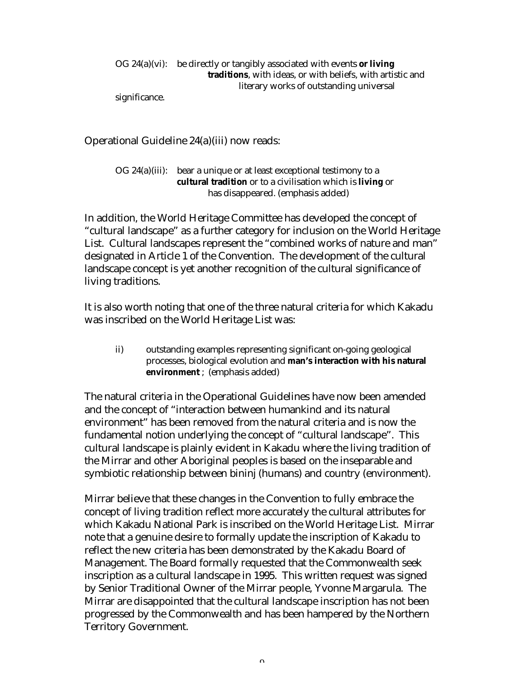OG 24(a)(vi): be directly or tangibly associated with events **or living traditions**, with ideas, or with beliefs, with artistic and literary works of outstanding universal

significance.

Operational Guideline 24(a)(iii) now reads:

OG 24(a)(iii): bear a unique or at least exceptional testimony to a **cultural tradition** or to a civilisation which is **living** or has disappeared. (emphasis added)

In addition, the World Heritage Committee has developed the concept of "cultural landscape" as a further category for inclusion on the World Heritage List. Cultural landscapes represent the "combined works of nature and man" designated in Article 1 of the Convention. The development of the cultural landscape concept is yet another recognition of the cultural significance of living traditions.

It is also worth noting that one of the three natural criteria for which Kakadu was inscribed on the World Heritage List was:

ii) outstanding examples representing significant on-going geological processes, biological evolution and **man's interaction with his natural environment** ; (emphasis added)

The natural criteria in the Operational Guidelines have now been amended and the concept of "interaction between humankind and its natural environment" has been removed from the natural criteria and is now the fundamental notion underlying the concept of "cultural landscape". This cultural landscape is plainly evident in Kakadu where the living tradition of the Mirrar and other Aboriginal peoples is based on the inseparable and symbiotic relationship between bininj (humans) and country (environment).

Mirrar believe that these changes in the Convention to fully embrace the concept of living tradition reflect more accurately the cultural attributes for which Kakadu National Park is inscribed on the World Heritage List. Mirrar note that a genuine desire to formally update the inscription of Kakadu to reflect the new criteria has been demonstrated by the Kakadu Board of Management. The Board formally requested that the Commonwealth seek inscription as a cultural landscape in 1995. This written request was signed by Senior Traditional Owner of the Mirrar people, Yvonne Margarula. The Mirrar are disappointed that the cultural landscape inscription has not been progressed by the Commonwealth and has been hampered by the Northern Territory Government.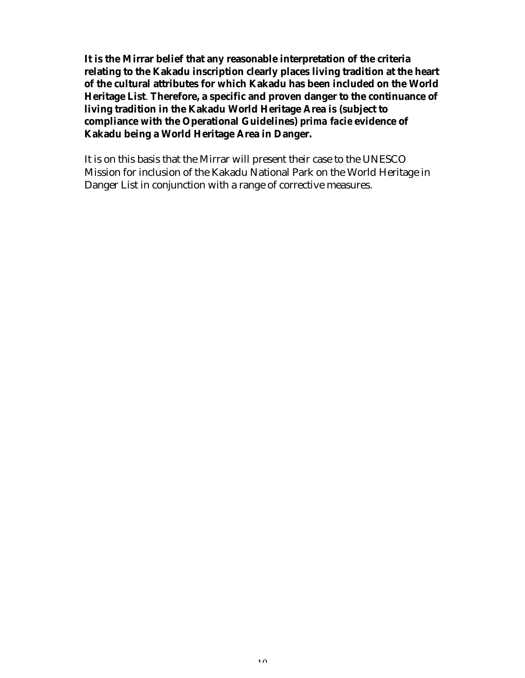**It is the Mirrar belief that any reasonable interpretation of the criteria relating to the Kakadu inscription clearly places living tradition at the heart of the cultural attributes for which Kakadu has been included on the World Heritage List**. **Therefore, a specific and proven danger to the continuance of living tradition in the Kakadu World Heritage Area is (subject to compliance with the Operational Guidelines)** *prima facie* **evidence of Kakadu being a World Heritage Area in Danger.**

It is on this basis that the Mirrar will present their case to the UNESCO Mission for inclusion of the Kakadu National Park on the World Heritage in Danger List in conjunction with a range of corrective measures.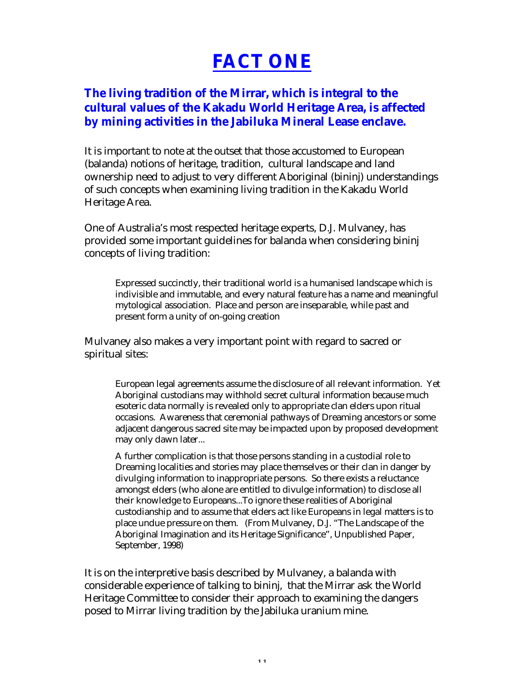# **FACT ONE**

## **The living tradition of the Mirrar, which is integral to the cultural values of the Kakadu World Heritage Area, is affected by mining activities in the Jabiluka Mineral Lease enclave.**

It is important to note at the outset that those accustomed to European (balanda) notions of heritage, tradition, cultural landscape and land ownership need to adjust to very different Aboriginal (bininj) understandings of such concepts when examining living tradition in the Kakadu World Heritage Area.

One of Australia's most respected heritage experts, D.J. Mulvaney, has provided some important guidelines for balanda when considering bininj concepts of living tradition:

Expressed succinctly, their traditional world is a humanised landscape which is indivisible and immutable, and every natural feature has a name and meaningful mytological association. Place and person are inseparable, while past and present form a unity of on-going creation

Mulvaney also makes a very important point with regard to sacred or spiritual sites:

European legal agreements assume the disclosure of all relevant information. Yet Aboriginal custodians may withhold secret cultural information because much esoteric data normally is revealed only to appropriate clan elders upon ritual occasions. Awareness that ceremonial pathways of Dreaming ancestors or some adjacent dangerous sacred site may be impacted upon by proposed development may only dawn later...

A further complication is that those persons standing in a custodial role to Dreaming localities and stories may place themselves or their clan in danger by divulging information to inappropriate persons. So there exists a reluctance amongst elders (who alone are entitled to divulge information) to disclose all their knowledge to Europeans...To ignore these realities of Aboriginal custodianship and to assume that elders act like Europeans in legal matters is to place undue pressure on them. (From Mulvaney, D.J. "The Landscape of the Aboriginal Imagination and its Heritage Significance", Unpublished Paper, September, 1998)

It is on the interpretive basis described by Mulvaney, a balanda with considerable experience of talking to bininj, that the Mirrar ask the World Heritage Committee to consider their approach to examining the dangers posed to Mirrar living tradition by the Jabiluka uranium mine.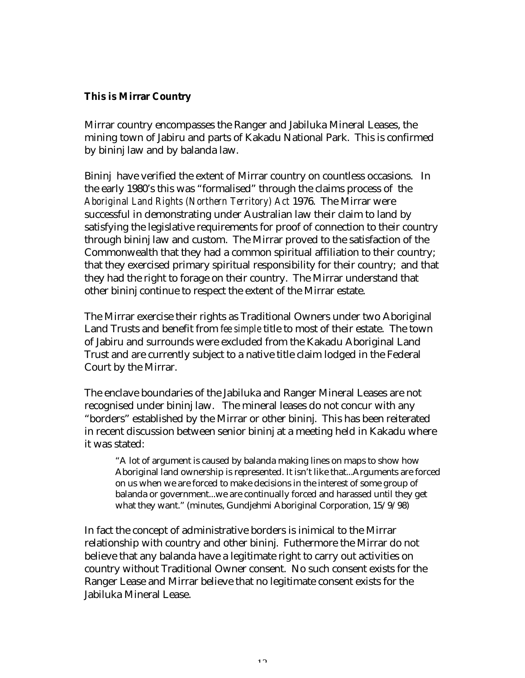## **This is Mirrar Country**

Mirrar country encompasses the Ranger and Jabiluka Mineral Leases, the mining town of Jabiru and parts of Kakadu National Park. This is confirmed by bininj law and by balanda law.

Bininj have verified the extent of Mirrar country on countless occasions. In the early 1980's this was "formalised" through the claims process of the *Aboriginal Land Rights (Northern Territory) Act* 1976. The Mirrar were successful in demonstrating under Australian law their claim to land by satisfying the legislative requirements for proof of connection to their country through bininj law and custom. The Mirrar proved to the satisfaction of the Commonwealth that they had a common spiritual affiliation to their country; that they exercised primary spiritual responsibility for their country; and that they had the right to forage on their country. The Mirrar understand that other bininj continue to respect the extent of the Mirrar estate.

The Mirrar exercise their rights as Traditional Owners under two Aboriginal Land Trusts and benefit from *fee simple* title to most of their estate. The town of Jabiru and surrounds were excluded from the Kakadu Aboriginal Land Trust and are currently subject to a native title claim lodged in the Federal Court by the Mirrar.

The enclave boundaries of the Jabiluka and Ranger Mineral Leases are not recognised under bininj law. The mineral leases do not concur with any "borders" established by the Mirrar or other bininj. This has been reiterated in recent discussion between senior bininj at a meeting held in Kakadu where it was stated:

"A lot of argument is caused by balanda making lines on maps to show how Aboriginal land ownership is represented. It isn't like that...Arguments are forced on us when we are forced to make decisions in the interest of some group of balanda or government...we are continually forced and harassed until they get what they want." (minutes, Gundjehmi Aboriginal Corporation, 15/9/98)

In fact the concept of administrative borders is inimical to the Mirrar relationship with country and other bininj. Futhermore the Mirrar do not believe that any balanda have a legitimate right to carry out activities on country without Traditional Owner consent. No such consent exists for the Ranger Lease and Mirrar believe that no legitimate consent exists for the Jabiluka Mineral Lease.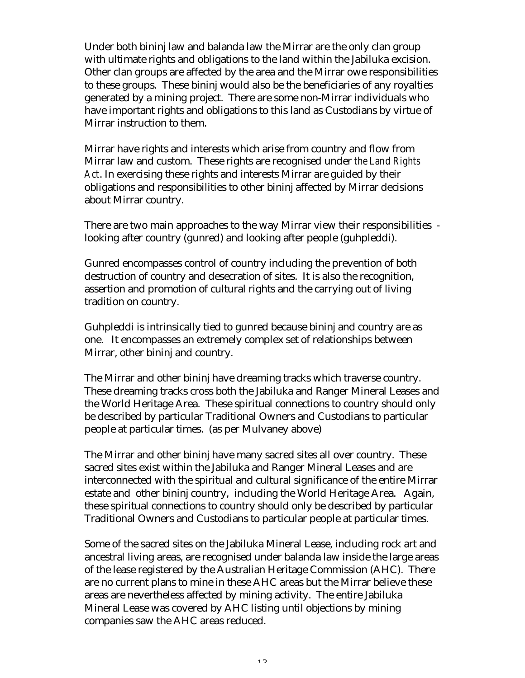Under both bininj law and balanda law the Mirrar are the only clan group with ultimate rights and obligations to the land within the Jabiluka excision. Other clan groups are affected by the area and the Mirrar owe responsibilities to these groups. These bininj would also be the beneficiaries of any royalties generated by a mining project. There are some non-Mirrar individuals who have important rights and obligations to this land as Custodians by virtue of Mirrar instruction to them.

Mirrar have rights and interests which arise from country and flow from Mirrar law and custom. These rights are recognised under *the Land Rights Act*. In exercising these rights and interests Mirrar are guided by their obligations and responsibilities to other bininj affected by Mirrar decisions about Mirrar country.

There are two main approaches to the way Mirrar view their responsibilities looking after country (gunred) and looking after people (guhpleddi).

Gunred encompasses control of country including the prevention of both destruction of country and desecration of sites. It is also the recognition, assertion and promotion of cultural rights and the carrying out of living tradition on country.

Guhpleddi is intrinsically tied to gunred because bininj and country are as one. It encompasses an extremely complex set of relationships between Mirrar, other bininj and country.

The Mirrar and other bininj have dreaming tracks which traverse country. These dreaming tracks cross both the Jabiluka and Ranger Mineral Leases and the World Heritage Area. These spiritual connections to country should only be described by particular Traditional Owners and Custodians to particular people at particular times. (as per Mulvaney above)

The Mirrar and other bininj have many sacred sites all over country. These sacred sites exist within the Jabiluka and Ranger Mineral Leases and are interconnected with the spiritual and cultural significance of the entire Mirrar estate and other bininj country, including the World Heritage Area. Again, these spiritual connections to country should only be described by particular Traditional Owners and Custodians to particular people at particular times.

Some of the sacred sites on the Jabiluka Mineral Lease, including rock art and ancestral living areas, are recognised under balanda law inside the large areas of the lease registered by the Australian Heritage Commission (AHC). There are no current plans to mine in these AHC areas but the Mirrar believe these areas are nevertheless affected by mining activity. The entire Jabiluka Mineral Lease was covered by AHC listing until objections by mining companies saw the AHC areas reduced.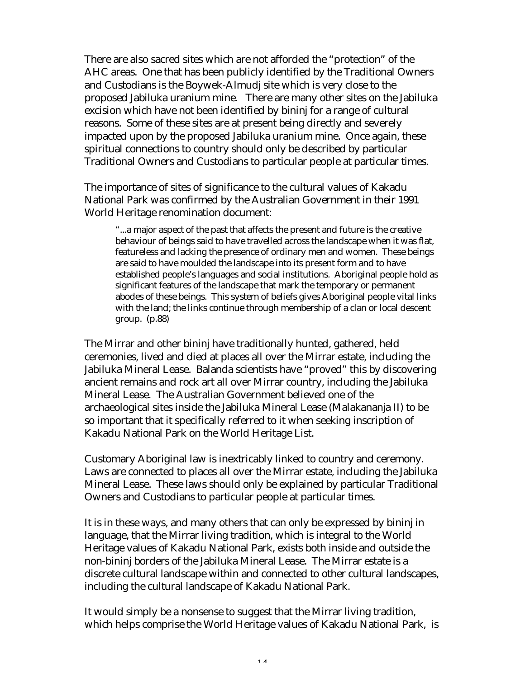There are also sacred sites which are not afforded the "protection" of the AHC areas. One that has been publicly identified by the Traditional Owners and Custodians is the Boywek-Almudj site which is very close to the proposed Jabiluka uranium mine. There are many other sites on the Jabiluka excision which have not been identified by bininj for a range of cultural reasons. Some of these sites are at present being directly and severely impacted upon by the proposed Jabiluka uranium mine. Once again, these spiritual connections to country should only be described by particular Traditional Owners and Custodians to particular people at particular times.

The importance of sites of significance to the cultural values of Kakadu National Park was confirmed by the Australian Government in their 1991 World Heritage renomination document:

"...a major aspect of the past that affects the present and future is the creative behaviour of beings said to have travelled across the landscape when it was flat, featureless and lacking the presence of ordinary men and women. These beings are said to have moulded the landscape into its present form and to have established people's languages and social institutions. Aboriginal people hold as significant features of the landscape that mark the temporary or permanent abodes of these beings. This system of beliefs gives Aboriginal people vital links with the land; the links continue through membership of a clan or local descent group. (p.88)

The Mirrar and other bininj have traditionally hunted, gathered, held ceremonies, lived and died at places all over the Mirrar estate, including the Jabiluka Mineral Lease. Balanda scientists have "proved" this by discovering ancient remains and rock art all over Mirrar country, including the Jabiluka Mineral Lease. The Australian Government believed one of the archaeological sites inside the Jabiluka Mineral Lease (Malakananja II) to be so important that it specifically referred to it when seeking inscription of Kakadu National Park on the World Heritage List.

Customary Aboriginal law is inextricably linked to country and ceremony. Laws are connected to places all over the Mirrar estate, including the Jabiluka Mineral Lease. These laws should only be explained by particular Traditional Owners and Custodians to particular people at particular times.

It is in these ways, and many others that can only be expressed by bininj in language, that the Mirrar living tradition, which is integral to the World Heritage values of Kakadu National Park, exists both inside and outside the non-bininj borders of the Jabiluka Mineral Lease. The Mirrar estate is a discrete cultural landscape within and connected to other cultural landscapes, including the cultural landscape of Kakadu National Park.

It would simply be a nonsense to suggest that the Mirrar living tradition, which helps comprise the World Heritage values of Kakadu National Park, is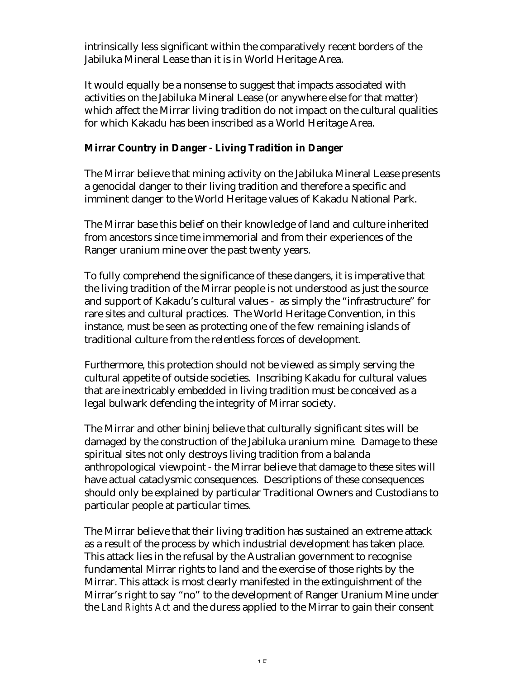intrinsically less significant within the comparatively recent borders of the Jabiluka Mineral Lease than it is in World Heritage Area.

It would equally be a nonsense to suggest that impacts associated with activities on the Jabiluka Mineral Lease (or anywhere else for that matter) which affect the Mirrar living tradition do not impact on the cultural qualities for which Kakadu has been inscribed as a World Heritage Area.

## **Mirrar Country in Danger - Living Tradition in Danger**

The Mirrar believe that mining activity on the Jabiluka Mineral Lease presents a genocidal danger to their living tradition and therefore a specific and imminent danger to the World Heritage values of Kakadu National Park.

The Mirrar base this belief on their knowledge of land and culture inherited from ancestors since time immemorial and from their experiences of the Ranger uranium mine over the past twenty years.

To fully comprehend the significance of these dangers, it is imperative that the living tradition of the Mirrar people is not understood as just the source and support of Kakadu's cultural values - as simply the "infrastructure" for rare sites and cultural practices. The World Heritage Convention, in this instance, must be seen as protecting one of the few remaining islands of traditional culture from the relentless forces of development.

Furthermore, this protection should not be viewed as simply serving the cultural appetite of outside societies. Inscribing Kakadu for cultural values that are inextricably embedded in living tradition must be conceived as a legal bulwark defending the integrity of Mirrar society.

The Mirrar and other bininj believe that culturally significant sites will be damaged by the construction of the Jabiluka uranium mine. Damage to these spiritual sites not only destroys living tradition from a balanda anthropological viewpoint - the Mirrar believe that damage to these sites will have actual cataclysmic consequences. Descriptions of these consequences should only be explained by particular Traditional Owners and Custodians to particular people at particular times.

The Mirrar believe that their living tradition has sustained an extreme attack as a result of the process by which industrial development has taken place. This attack lies in the refusal by the Australian government to recognise fundamental Mirrar rights to land and the exercise of those rights by the Mirrar. This attack is most clearly manifested in the extinguishment of the Mirrar's right to say "no" to the development of Ranger Uranium Mine under the *Land Rights Act* and the duress applied to the Mirrar to gain their consent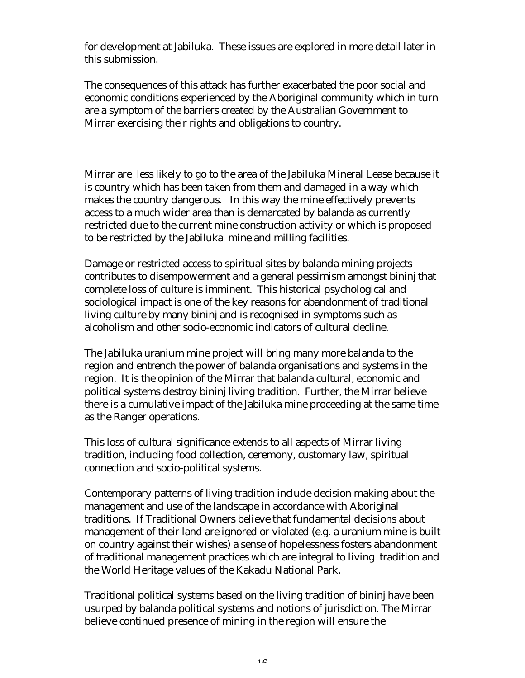for development at Jabiluka. These issues are explored in more detail later in this submission.

The consequences of this attack has further exacerbated the poor social and economic conditions experienced by the Aboriginal community which in turn are a symptom of the barriers created by the Australian Government to Mirrar exercising their rights and obligations to country.

Mirrar are less likely to go to the area of the Jabiluka Mineral Lease because it is country which has been taken from them and damaged in a way which makes the country dangerous. In this way the mine effectively prevents access to a much wider area than is demarcated by balanda as currently restricted due to the current mine construction activity or which is proposed to be restricted by the Jabiluka mine and milling facilities.

Damage or restricted access to spiritual sites by balanda mining projects contributes to disempowerment and a general pessimism amongst bininj that complete loss of culture is imminent. This historical psychological and sociological impact is one of the key reasons for abandonment of traditional living culture by many bininj and is recognised in symptoms such as alcoholism and other socio-economic indicators of cultural decline.

The Jabiluka uranium mine project will bring many more balanda to the region and entrench the power of balanda organisations and systems in the region. It is the opinion of the Mirrar that balanda cultural, economic and political systems destroy bininj living tradition. Further, the Mirrar believe there is a cumulative impact of the Jabiluka mine proceeding at the same time as the Ranger operations.

This loss of cultural significance extends to all aspects of Mirrar living tradition, including food collection, ceremony, customary law, spiritual connection and socio-political systems.

Contemporary patterns of living tradition include decision making about the management and use of the landscape in accordance with Aboriginal traditions. If Traditional Owners believe that fundamental decisions about management of their land are ignored or violated (e.g. a uranium mine is built on country against their wishes) a sense of hopelessness fosters abandonment of traditional management practices which are integral to living tradition and the World Heritage values of the Kakadu National Park.

Traditional political systems based on the living tradition of bininj have been usurped by balanda political systems and notions of jurisdiction. The Mirrar believe continued presence of mining in the region will ensure the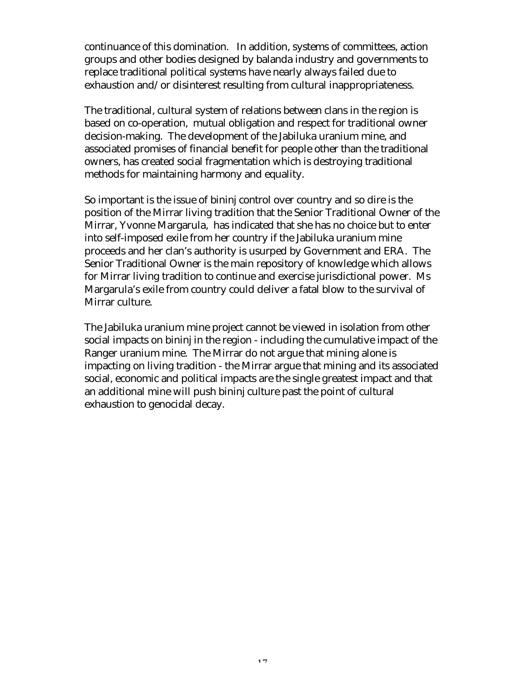continuance of this domination. In addition, systems of committees, action groups and other bodies designed by balanda industry and governments to replace traditional political systems have nearly always failed due to exhaustion and/or disinterest resulting from cultural inappropriateness.

The traditional, cultural system of relations between clans in the region is based on co-operation, mutual obligation and respect for traditional owner decision-making. The development of the Jabiluka uranium mine, and associated promises of financial benefit for people other than the traditional owners, has created social fragmentation which is destroying traditional methods for maintaining harmony and equality.

So important is the issue of bininj control over country and so dire is the position of the Mirrar living tradition that the Senior Traditional Owner of the Mirrar, Yvonne Margarula, has indicated that she has no choice but to enter into self-imposed exile from her country if the Jabiluka uranium mine proceeds and her clan's authority is usurped by Government and ERA. The Senior Traditional Owner is the main repository of knowledge which allows for Mirrar living tradition to continue and exercise jurisdictional power. Ms Margarula's exile from country could deliver a fatal blow to the survival of Mirrar culture.

The Jabiluka uranium mine project cannot be viewed in isolation from other social impacts on bininj in the region - including the cumulative impact of the Ranger uranium mine. The Mirrar do not argue that mining alone is impacting on living tradition - the Mirrar argue that mining and its associated social, economic and political impacts are the single greatest impact and that an additional mine will push bininj culture past the point of cultural exhaustion to genocidal decay.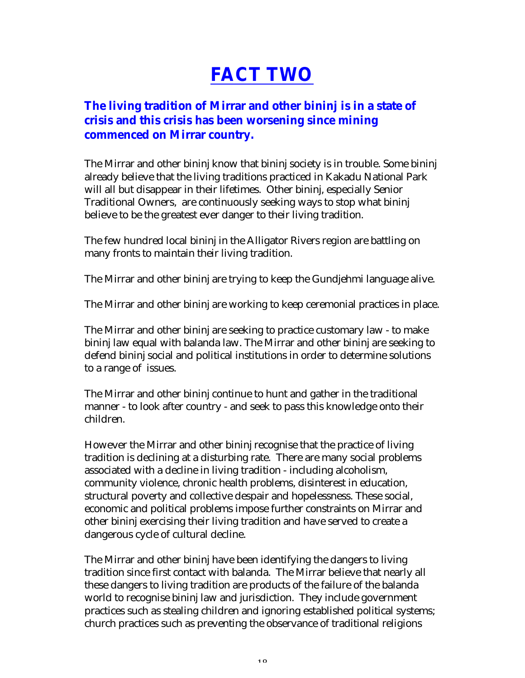# **FACT TWO**

## **The living tradition of Mirrar and other bininj is in a state of crisis and this crisis has been worsening since mining commenced on Mirrar country.**

The Mirrar and other bininj know that bininj society is in trouble. Some bininj already believe that the living traditions practiced in Kakadu National Park will all but disappear in their lifetimes. Other bininj, especially Senior Traditional Owners, are continuously seeking ways to stop what bininj believe to be the greatest ever danger to their living tradition.

The few hundred local bininj in the Alligator Rivers region are battling on many fronts to maintain their living tradition.

The Mirrar and other bininj are trying to keep the Gundjehmi language alive.

The Mirrar and other bininj are working to keep ceremonial practices in place.

The Mirrar and other bininj are seeking to practice customary law - to make bininj law equal with balanda law. The Mirrar and other bininj are seeking to defend bininj social and political institutions in order to determine solutions to a range of issues.

The Mirrar and other bininj continue to hunt and gather in the traditional manner - to look after country - and seek to pass this knowledge onto their children.

However the Mirrar and other bininj recognise that the practice of living tradition is declining at a disturbing rate. There are many social problems associated with a decline in living tradition - including alcoholism, community violence, chronic health problems, disinterest in education, structural poverty and collective despair and hopelessness. These social, economic and political problems impose further constraints on Mirrar and other bininj exercising their living tradition and have served to create a dangerous cycle of cultural decline.

The Mirrar and other bininj have been identifying the dangers to living tradition since first contact with balanda. The Mirrar believe that nearly all these dangers to living tradition are products of the failure of the balanda world to recognise bininj law and jurisdiction. They include government practices such as stealing children and ignoring established political systems; church practices such as preventing the observance of traditional religions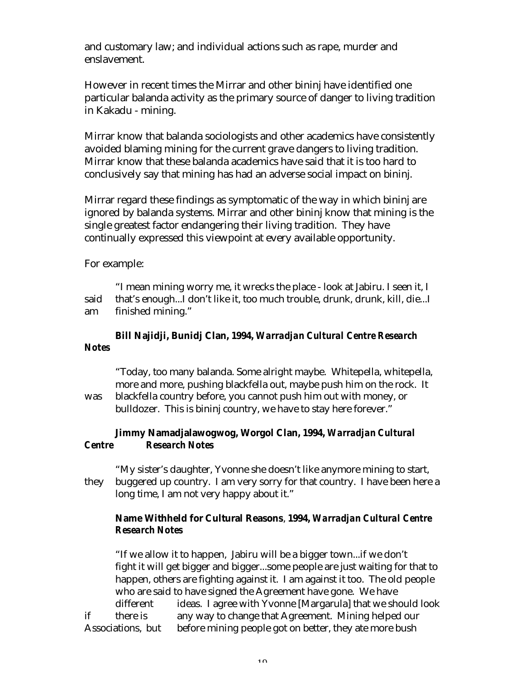and customary law; and individual actions such as rape, murder and enslavement.

However in recent times the Mirrar and other bininj have identified one particular balanda activity as the primary source of danger to living tradition in Kakadu - mining.

Mirrar know that balanda sociologists and other academics have consistently avoided blaming mining for the current grave dangers to living tradition. Mirrar know that these balanda academics have said that it is too hard to conclusively say that mining has had an adverse social impact on bininj.

Mirrar regard these findings as symptomatic of the way in which bininj are ignored by balanda systems. Mirrar and other bininj know that mining is the single greatest factor endangering their living tradition. They have continually expressed this viewpoint at every available opportunity.

For example:

"I mean mining worry me, it wrecks the place - look at Jabiru. I seen it, I said that's enough...I don't like it, too much trouble, drunk, drunk, kill, die...I am finished mining."

## **Bill Najidji, Bunidj Clan, 1994,** *Warradjan Cultural Centre Research Notes*

"Today, too many balanda. Some alright maybe. Whitepella, whitepella, more and more, pushing blackfella out, maybe push him on the rock. It was blackfella country before, you cannot push him out with money, or bulldozer. This is bininj country, we have to stay here forever."

## **Jimmy Namadjalawogwog, Worgol Clan, 1994,** *Warradjan Cultural Centre Research Notes*

"My sister's daughter, Yvonne she doesn't like anymore mining to start, they buggered up country. I am very sorry for that country. I have been here a long time, I am not very happy about it."

## **Name Withheld for Cultural Reasons**, **1994,** *Warradjan Cultural Centre Research Notes*

"If we allow it to happen, Jabiru will be a bigger town...if we don't fight it will get bigger and bigger...some people are just waiting for that to happen, others are fighting against it. I am against it too. The old people who are said to have signed the Agreement have gone. We have different ideas. I agree with Yvonne [Margarula] that we should look if there is any way to change that Agreement. Mining helped our Associations, but before mining people got on better, they ate more bush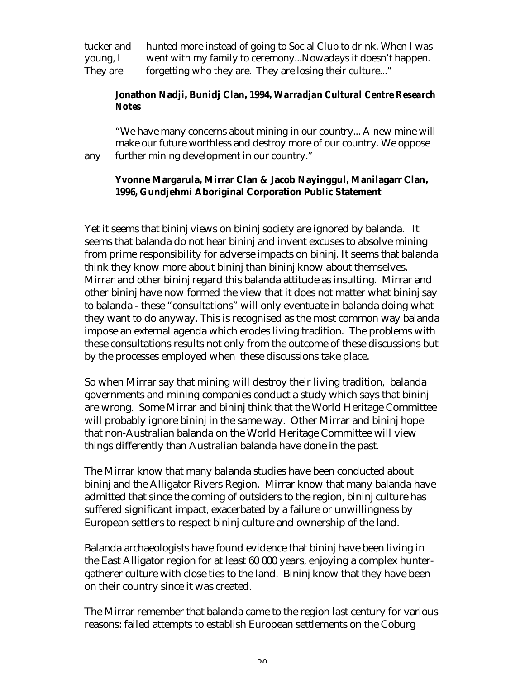tucker and hunted more instead of going to Social Club to drink. When I was young, I went with my family to ceremony...Nowadays it doesn't happen. They are forgetting who they are. They are losing their culture..."

## **Jonathon Nadji, Bunidj Clan, 1994,** *Warradjan Cultural Centre Research Notes*

"We have many concerns about mining in our country... A new mine will make our future worthless and destroy more of our country. We oppose any further mining development in our country."

## **Yvonne Margarula, Mirrar Clan & Jacob Nayinggul, Manilagarr Clan, 1996, Gundjehmi Aboriginal Corporation Public Statement**

Yet it seems that bininj views on bininj society are ignored by balanda. It seems that balanda do not hear bininj and invent excuses to absolve mining from prime responsibility for adverse impacts on bininj. It seems that balanda think they know more about bininj than bininj know about themselves. Mirrar and other bininj regard this balanda attitude as insulting. Mirrar and other bininj have now formed the view that it does not matter what bininj say to balanda - these "consultations" will only eventuate in balanda doing what they want to do anyway. This is recognised as the most common way balanda impose an external agenda which erodes living tradition. The problems with these consultations results not only from the outcome of these discussions but by the processes employed when these discussions take place.

So when Mirrar say that mining will destroy their living tradition, balanda governments and mining companies conduct a study which says that bininj are wrong. Some Mirrar and bininj think that the World Heritage Committee will probably ignore bininj in the same way. Other Mirrar and bininj hope that non-Australian balanda on the World Heritage Committee will view things differently than Australian balanda have done in the past.

The Mirrar know that many balanda studies have been conducted about bininj and the Alligator Rivers Region. Mirrar know that many balanda have admitted that since the coming of outsiders to the region, bininj culture has suffered significant impact, exacerbated by a failure or unwillingness by European settlers to respect bininj culture and ownership of the land.

Balanda archaeologists have found evidence that bininj have been living in the East Alligator region for at least 60 000 years, enjoying a complex huntergatherer culture with close ties to the land. Bininj know that they have been on their country since it was created.

The Mirrar remember that balanda came to the region last century for various reasons: failed attempts to establish European settlements on the Coburg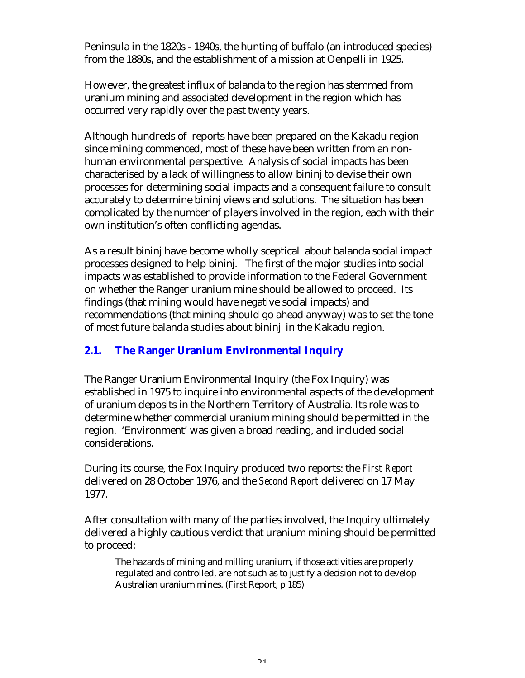Peninsula in the 1820s - 1840s, the hunting of buffalo (an introduced species) from the 1880s, and the establishment of a mission at Oenpelli in 1925.

However, the greatest influx of balanda to the region has stemmed from uranium mining and associated development in the region which has occurred very rapidly over the past twenty years.

Although hundreds of reports have been prepared on the Kakadu region since mining commenced, most of these have been written from an nonhuman environmental perspective. Analysis of social impacts has been characterised by a lack of willingness to allow bininj to devise their own processes for determining social impacts and a consequent failure to consult accurately to determine bininj views and solutions. The situation has been complicated by the number of players involved in the region, each with their own institution's often conflicting agendas.

As a result bininj have become wholly sceptical about balanda social impact processes designed to help bininj. The first of the major studies into social impacts was established to provide information to the Federal Government on whether the Ranger uranium mine should be allowed to proceed. Its findings (that mining would have negative social impacts) and recommendations (that mining should go ahead anyway) was to set the tone of most future balanda studies about bininj in the Kakadu region.

## **2.1. The Ranger Uranium Environmental Inquiry**

The Ranger Uranium Environmental Inquiry (the Fox Inquiry) was established in 1975 to inquire into environmental aspects of the development of uranium deposits in the Northern Territory of Australia. Its role was to determine whether commercial uranium mining should be permitted in the region. 'Environment' was given a broad reading, and included social considerations.

During its course, the Fox Inquiry produced two reports: the *First Report* delivered on 28 October 1976, and the *Second Report* delivered on 17 May 1977.

After consultation with many of the parties involved, the Inquiry ultimately delivered a highly cautious verdict that uranium mining should be permitted to proceed:

The hazards of mining and milling uranium, if those activities are properly regulated and controlled, are not such as to justify a decision not to develop Australian uranium mines. (First Report, p 185)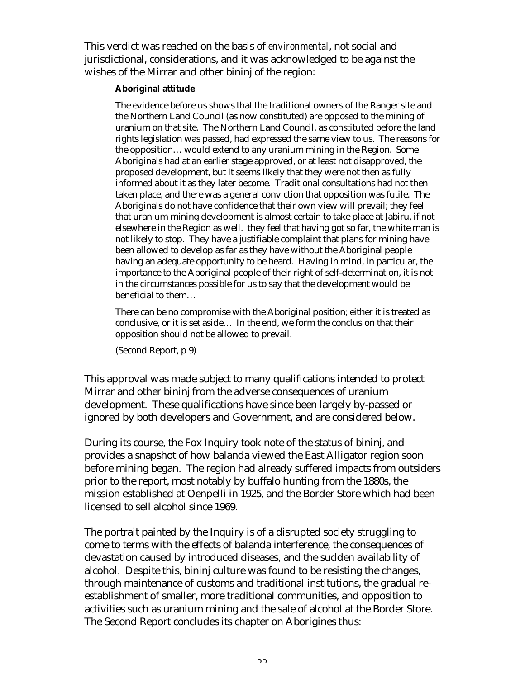This verdict was reached on the basis of *environmental*, not social and jurisdictional, considerations, and it was acknowledged to be against the wishes of the Mirrar and other bininj of the region:

#### **Aboriginal attitude**

The evidence before us shows that the traditional owners of the Ranger site and the Northern Land Council (as now constituted) are opposed to the mining of uranium on that site. The Northern Land Council, as constituted before the land rights legislation was passed, had expressed the same view to us. The reasons for the opposition… would extend to any uranium mining in the Region. Some Aboriginals had at an earlier stage approved, or at least not disapproved, the proposed development, but it seems likely that they were not then as fully informed about it as they later become. Traditional consultations had not then taken place, and there was a general conviction that opposition was futile. The Aboriginals do not have confidence that their own view will prevail; they feel that uranium mining development is almost certain to take place at Jabiru, if not elsewhere in the Region as well. they feel that having got so far, the white man is not likely to stop. They have a justifiable complaint that plans for mining have been allowed to develop as far as they have without the Aboriginal people having an adequate opportunity to be heard. Having in mind, in particular, the importance to the Aboriginal people of their right of self-determination, it is not in the circumstances possible for us to say that the development would be beneficial to them…

There can be no compromise with the Aboriginal position; either it is treated as conclusive, or it is set aside… In the end, we form the conclusion that their opposition should not be allowed to prevail.

(Second Report, p 9)

This approval was made subject to many qualifications intended to protect Mirrar and other bininj from the adverse consequences of uranium development. These qualifications have since been largely by-passed or ignored by both developers and Government, and are considered below.

During its course, the Fox Inquiry took note of the status of bininj, and provides a snapshot of how balanda viewed the East Alligator region soon before mining began. The region had already suffered impacts from outsiders prior to the report, most notably by buffalo hunting from the 1880s, the mission established at Oenpelli in 1925, and the Border Store which had been licensed to sell alcohol since 1969.

The portrait painted by the Inquiry is of a disrupted society struggling to come to terms with the effects of balanda interference, the consequences of devastation caused by introduced diseases, and the sudden availability of alcohol. Despite this, bininj culture was found to be resisting the changes, through maintenance of customs and traditional institutions, the gradual reestablishment of smaller, more traditional communities, and opposition to activities such as uranium mining and the sale of alcohol at the Border Store. The Second Report concludes its chapter on Aborigines thus: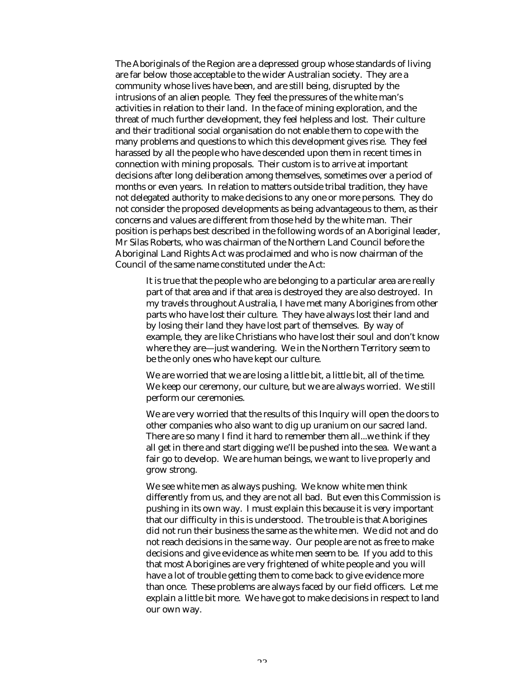The Aboriginals of the Region are a depressed group whose standards of living are far below those acceptable to the wider Australian society. They are a community whose lives have been, and are still being, disrupted by the intrusions of an alien people. They feel the pressures of the white man's activities in relation to their land. In the face of mining exploration, and the threat of much further development, they feel helpless and lost. Their culture and their traditional social organisation do not enable them to cope with the many problems and questions to which this development gives rise. They feel harassed by all the people who have descended upon them in recent times in connection with mining proposals. Their custom is to arrive at important decisions after long deliberation among themselves, sometimes over a period of months or even years. In relation to matters outside tribal tradition, they have not delegated authority to make decisions to any one or more persons. They do not consider the proposed developments as being advantageous to them, as their concerns and values are different from those held by the white man. Their position is perhaps best described in the following words of an Aboriginal leader, Mr Silas Roberts, who was chairman of the Northern Land Council before the Aboriginal Land Rights Act was proclaimed and who is now chairman of the Council of the same name constituted under the Act:

It is true that the people who are belonging to a particular area are really part of that area and if that area is destroyed they are also destroyed. In my travels throughout Australia, I have met many Aborigines from other parts who have lost their culture. They have always lost their land and by losing their land they have lost part of themselves. By way of example, they are like Christians who have lost their soul and don't know where they are—just wandering. We in the Northern Territory seem to be the only ones who have kept our culture.

We are worried that we are losing a little bit, a little bit, all of the time. We keep our ceremony, our culture, but we are always worried. We still perform our ceremonies.

We are very worried that the results of this Inquiry will open the doors to other companies who also want to dig up uranium on our sacred land. There are so many I find it hard to remember them all...we think if they all get in there and start digging we'll be pushed into the sea. We want a fair go to develop. We are human beings, we want to live properly and grow strong.

We see white men as always pushing. We know white men think differently from us, and they are not all bad. But even this Commission is pushing in its own way. I must explain this because it is very important that our difficulty in this is understood. The trouble is that Aborigines did not run their business the same as the white men. We did not and do not reach decisions in the same way. Our people are not as free to make decisions and give evidence as white men seem to be. If you add to this that most Aborigines are very frightened of white people and you will have a lot of trouble getting them to come back to give evidence more than once. These problems are always faced by our field officers. Let me explain a little bit more. We have got to make decisions in respect to land our own way.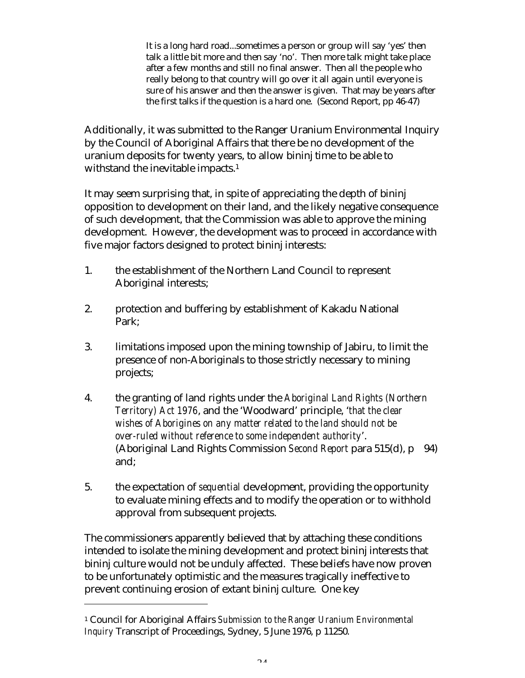It is a long hard road...sometimes a person or group will say 'yes' then talk a little bit more and then say 'no'. Then more talk might take place after a few months and still no final answer. Then all the people who really belong to that country will go over it all again until everyone is sure of his answer and then the answer is given. That may be years after the first talks if the question is a hard one. (Second Report, pp 46-47)

Additionally, it was submitted to the Ranger Uranium Environmental Inquiry by the Council of Aboriginal Affairs that there be no development of the uranium deposits for twenty years, to allow bininj time to be able to withstand the inevitable impacts.<sup>1</sup>

It may seem surprising that, in spite of appreciating the depth of bininj opposition to development on their land, and the likely negative consequence of such development, that the Commission was able to approve the mining development. However, the development was to proceed in accordance with five major factors designed to protect bininj interests:

- 1. the establishment of the Northern Land Council to represent Aboriginal interests;
- 2. protection and buffering by establishment of Kakadu National Park;
- 3. limitations imposed upon the mining township of Jabiru, to limit the presence of non-Aboriginals to those strictly necessary to mining projects;
- 4. the granting of land rights under the *Aboriginal Land Rights (Northern Territory) Act 1976*, and the 'Woodward' principle, '*that the clear wishes of Aborigines on any matter related to the land should not be over-ruled without reference to some independent authority*'. (Aboriginal Land Rights Commission *Second Report* para 515(d), p 94) and;
- 5. the expectation of *sequential* development, providing the opportunity to evaluate mining effects and to modify the operation or to withhold approval from subsequent projects.

The commissioners apparently believed that by attaching these conditions intended to isolate the mining development and protect bininj interests that bininj culture would not be unduly affected. These beliefs have now proven to be unfortunately optimistic and the measures tragically ineffective to prevent continuing erosion of extant bininj culture. One key

 $\overline{a}$ 

<sup>1</sup> Council for Aboriginal Affairs *Submission to the Ranger Uranium Environmental Inquiry* Transcript of Proceedings, Sydney, 5 June 1976, p 11250.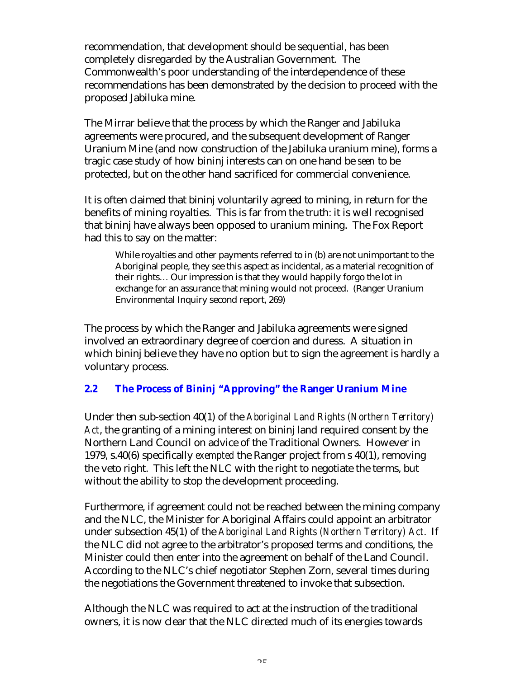recommendation, that development should be sequential, has been completely disregarded by the Australian Government. The Commonwealth's poor understanding of the interdependence of these recommendations has been demonstrated by the decision to proceed with the proposed Jabiluka mine.

The Mirrar believe that the process by which the Ranger and Jabiluka agreements were procured, and the subsequent development of Ranger Uranium Mine (and now construction of the Jabiluka uranium mine), forms a tragic case study of how bininj interests can on one hand be *seen* to be protected, but on the other hand sacrificed for commercial convenience.

It is often claimed that bininj voluntarily agreed to mining, in return for the benefits of mining royalties. This is far from the truth: it is well recognised that bininj have always been opposed to uranium mining. The Fox Report had this to say on the matter:

While royalties and other payments referred to in (b) are not unimportant to the Aboriginal people, they see this aspect as incidental, as a material recognition of their rights… Our impression is that they would happily forgo the lot in exchange for an assurance that mining would not proceed. (Ranger Uranium Environmental Inquiry second report, 269)

The process by which the Ranger and Jabiluka agreements were signed involved an extraordinary degree of coercion and duress. A situation in which bininj believe they have no option but to sign the agreement is hardly a voluntary process.

## **2.2 The Process of Bininj "Approving" the Ranger Uranium Mine**

Under then sub-section 40(1) of the *Aboriginal Land Rights (Northern Territory) Act*, the granting of a mining interest on bininj land required consent by the Northern Land Council on advice of the Traditional Owners. However in 1979, s.40(6) specifically *exempted* the Ranger project from s 40(1), removing the veto right. This left the NLC with the right to negotiate the terms, but without the ability to stop the development proceeding.

Furthermore, if agreement could not be reached between the mining company and the NLC, the Minister for Aboriginal Affairs could appoint an arbitrator under subsection 45(1) of the *Aboriginal Land Rights (Northern Territory) Act*. If the NLC did not agree to the arbitrator's proposed terms and conditions, the Minister could then enter into the agreement on behalf of the Land Council. According to the NLC's chief negotiator Stephen Zorn, several times during the negotiations the Government threatened to invoke that subsection.

Although the NLC was required to act at the instruction of the traditional owners, it is now clear that the NLC directed much of its energies towards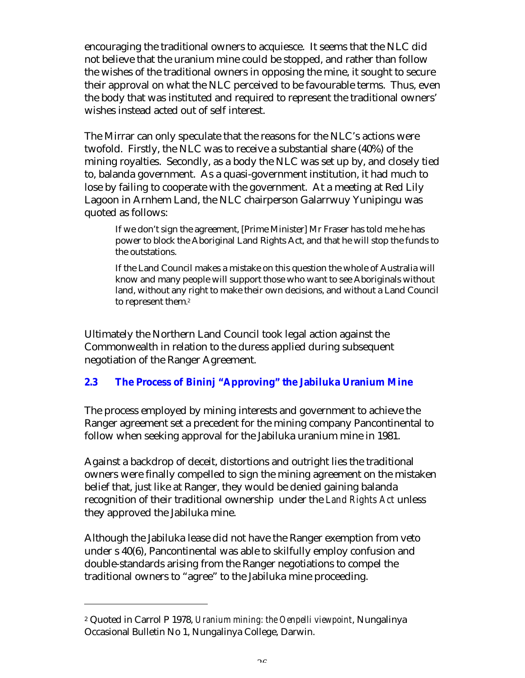encouraging the traditional owners to acquiesce. It seems that the NLC did not believe that the uranium mine could be stopped, and rather than follow the wishes of the traditional owners in opposing the mine, it sought to secure their approval on what the NLC perceived to be favourable terms. Thus, even the body that was instituted and required to represent the traditional owners' wishes instead acted out of self interest.

The Mirrar can only speculate that the reasons for the NLC's actions were twofold. Firstly, the NLC was to receive a substantial share (40%) of the mining royalties. Secondly, as a body the NLC was set up by, and closely tied to, balanda government. As a quasi-government institution, it had much to lose by failing to cooperate with the government. At a meeting at Red Lily Lagoon in Arnhem Land, the NLC chairperson Galarrwuy Yunipingu was quoted as follows:

If we don't sign the agreement, [Prime Minister] Mr Fraser has told me he has power to block the Aboriginal Land Rights Act, and that he will stop the funds to the outstations.

If the Land Council makes a mistake on this question the whole of Australia will know and many people will support those who want to see Aboriginals without land, without any right to make their own decisions, and without a Land Council to represent them. 2

Ultimately the Northern Land Council took legal action against the Commonwealth in relation to the duress applied during subsequent negotiation of the Ranger Agreement.

## **2.3 The Process of Bininj "Approving" the Jabiluka Uranium Mine**

The process employed by mining interests and government to achieve the Ranger agreement set a precedent for the mining company Pancontinental to follow when seeking approval for the Jabiluka uranium mine in 1981.

Against a backdrop of deceit, distortions and outright lies the traditional owners were finally compelled to sign the mining agreement on the mistaken belief that, just like at Ranger, they would be denied gaining balanda recognition of their traditional ownership under the *Land Rights Act* unless they approved the Jabiluka mine.

Although the Jabiluka lease did not have the Ranger exemption from veto under s 40(6), Pancontinental was able to skilfully employ confusion and double-standards arising from the Ranger negotiations to compel the traditional owners to "agree" to the Jabiluka mine proceeding.

 $\overline{a}$ 

<sup>2</sup> Quoted in Carrol P 1978, *Uranium mining: the Oenpelli viewpoint*, Nungalinya Occasional Bulletin No 1, Nungalinya College, Darwin.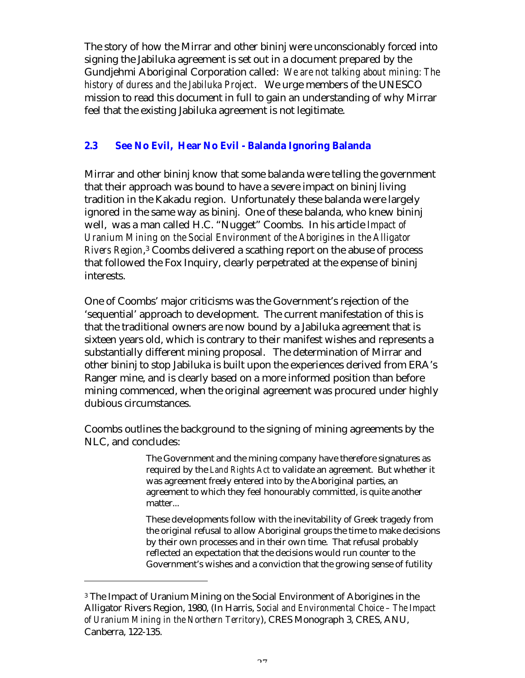The story of how the Mirrar and other bininj were unconscionably forced into signing the Jabiluka agreement is set out in a document prepared by the Gundjehmi Aboriginal Corporation called: *We are not talking about mining: The history of duress and the Jabiluka Project*. We urge members of the UNESCO mission to read this document in full to gain an understanding of why Mirrar feel that the existing Jabiluka agreement is not legitimate.

## **2.3 See No Evil, Hear No Evil - Balanda Ignoring Balanda**

Mirrar and other bininj know that some balanda were telling the government that their approach was bound to have a severe impact on bininj living tradition in the Kakadu region. Unfortunately these balanda were largely ignored in the same way as bininj. One of these balanda, who knew bininj well, was a man called H.C. "Nugget" Coombs. In his article *Impact of Uranium Mining on the Social Environment of the Aborigines in the Alligator Rivers Region*, <sup>3</sup> Coombs delivered a scathing report on the abuse of process that followed the Fox Inquiry, clearly perpetrated at the expense of bininj interests.

One of Coombs' major criticisms was the Government's rejection of the 'sequential' approach to development. The current manifestation of this is that the traditional owners are now bound by a Jabiluka agreement that is sixteen years old, which is contrary to their manifest wishes and represents a substantially different mining proposal. The determination of Mirrar and other bininj to stop Jabiluka is built upon the experiences derived from ERA's Ranger mine, and is clearly based on a more informed position than before mining commenced, when the original agreement was procured under highly dubious circumstances.

Coombs outlines the background to the signing of mining agreements by the NLC, and concludes:

> The Government and the mining company have therefore signatures as required by the *Land Rights Act* to validate an agreement. But whether it was agreement freely entered into by the Aboriginal parties, an agreement to which they feel honourably committed, is quite another matter...

These developments follow with the inevitability of Greek tragedy from the original refusal to allow Aboriginal groups the time to make decisions by their own processes and in their own time. That refusal probably reflected an expectation that the decisions would run counter to the Government's wishes and a conviction that the growing sense of futility

 $\overline{a}$ 

<sup>3</sup> The Impact of Uranium Mining on the Social Environment of Aborigines in the Alligator Rivers Region, 1980, (In Harris, *Social and Environmental Choice – The Impact of Uranium Mining in the Northern Territory*), CRES Monograph 3, CRES, ANU, Canberra, 122-135.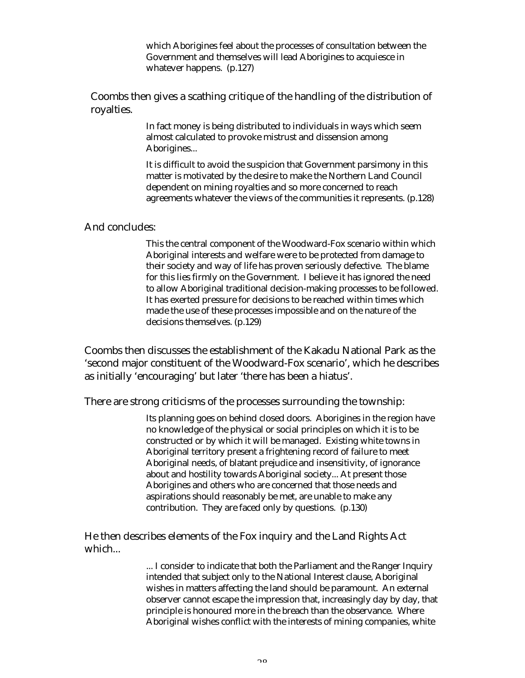which Aborigines feel about the processes of consultation between the Government and themselves will lead Aborigines to acquiesce in whatever happens. (p.127)

Coombs then gives a scathing critique of the handling of the distribution of royalties.

> In fact money is being distributed to individuals in ways which seem almost calculated to provoke mistrust and dissension among Aborigines...

It is difficult to avoid the suspicion that Government parsimony in this matter is motivated by the desire to make the Northern Land Council dependent on mining royalties and so more concerned to reach agreements whatever the views of the communities it represents. (p.128)

#### And concludes:

This the central component of the Woodward-Fox scenario within which Aboriginal interests and welfare were to be protected from damage to their society and way of life has proven seriously defective. The blame for this lies firmly on the Government. I believe it has ignored the need to allow Aboriginal traditional decision-making processes to be followed. It has exerted pressure for decisions to be reached within times which made the use of these processes impossible and on the nature of the decisions themselves. (p.129)

Coombs then discusses the establishment of the Kakadu National Park as the 'second major constituent of the Woodward-Fox scenario', which he describes as initially 'encouraging' but later 'there has been a hiatus'.

There are strong criticisms of the processes surrounding the township:

Its planning goes on behind closed doors. Aborigines in the region have no knowledge of the physical or social principles on which it is to be constructed or by which it will be managed. Existing white towns in Aboriginal territory present a frightening record of failure to meet Aboriginal needs, of blatant prejudice and insensitivity, of ignorance about and hostility towards Aboriginal society... At present those Aborigines and others who are concerned that those needs and aspirations should reasonably be met, are unable to make any contribution. They are faced only by questions. (p.130)

He then describes elements of the Fox inquiry and the Land Rights Act which...

> ... I consider to indicate that both the Parliament and the Ranger Inquiry intended that subject only to the National Interest clause, Aboriginal wishes in matters affecting the land should be paramount. An external observer cannot escape the impression that, increasingly day by day, that principle is honoured more in the breach than the observance. Where Aboriginal wishes conflict with the interests of mining companies, white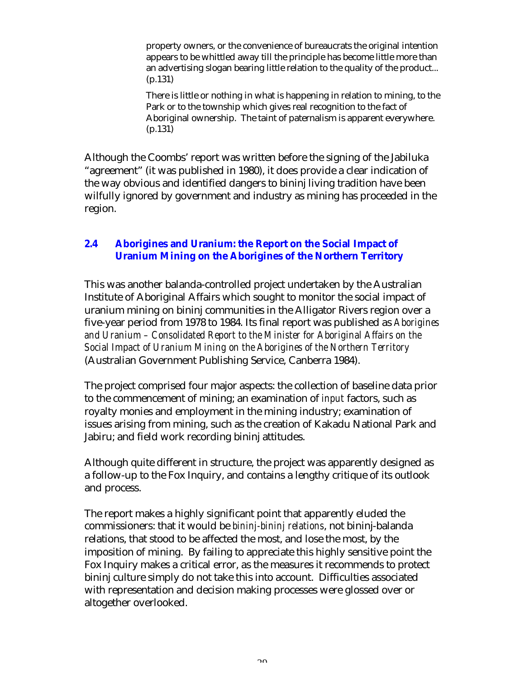property owners, or the convenience of bureaucrats the original intention appears to be whittled away till the principle has become little more than an advertising slogan bearing little relation to the quality of the product... (p.131)

There is little or nothing in what is happening in relation to mining, to the Park or to the township which gives real recognition to the fact of Aboriginal ownership. The taint of paternalism is apparent everywhere. (p.131)

Although the Coombs' report was written before the signing of the Jabiluka "agreement" (it was published in 1980), it does provide a clear indication of the way obvious and identified dangers to bininj living tradition have been wilfully ignored by government and industry as mining has proceeded in the region.

## **2.4 Aborigines and Uranium: the Report on the Social Impact of Uranium Mining on the Aborigines of the Northern Territory**

This was another balanda-controlled project undertaken by the Australian Institute of Aboriginal Affairs which sought to monitor the social impact of uranium mining on bininj communities in the Alligator Rivers region over a five-year period from 1978 to 1984. Its final report was published as *Aborigines and Uranium – Consolidated Report to the Minister for Aboriginal Affairs on the Social Impact of Uranium Mining on the Aborigines of the Northern Territory* (Australian Government Publishing Service, Canberra 1984).

The project comprised four major aspects: the collection of baseline data prior to the commencement of mining; an examination of *input* factors, such as royalty monies and employment in the mining industry; examination of issues arising from mining, such as the creation of Kakadu National Park and Jabiru; and field work recording bininj attitudes.

Although quite different in structure, the project was apparently designed as a follow-up to the Fox Inquiry, and contains a lengthy critique of its outlook and process.

The report makes a highly significant point that apparently eluded the commissioners: that it would be *bininj-bininj relations*, not bininj-balanda relations, that stood to be affected the most, and lose the most, by the imposition of mining. By failing to appreciate this highly sensitive point the Fox Inquiry makes a critical error, as the measures it recommends to protect bininj culture simply do not take this into account. Difficulties associated with representation and decision making processes were glossed over or altogether overlooked.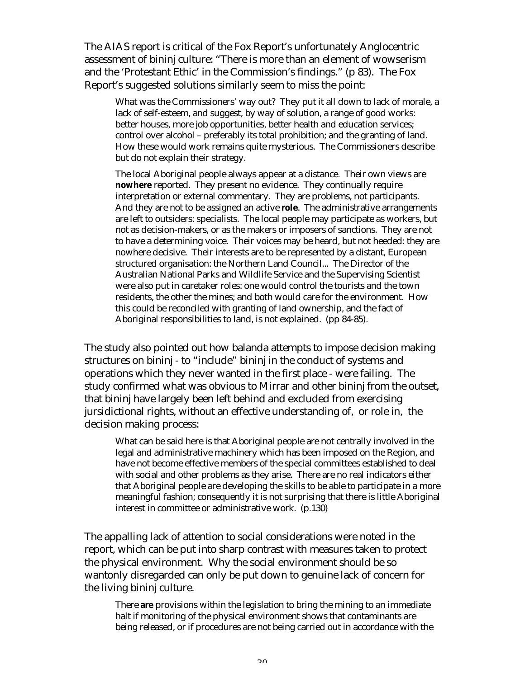The AIAS report is critical of the Fox Report's unfortunately Anglocentric assessment of bininj culture: "There is more than an element of wowserism and the 'Protestant Ethic' in the Commission's findings." (p 83). The Fox Report's suggested solutions similarly seem to miss the point:

What was the Commissioners' way out? They put it all down to lack of morale, a lack of self-esteem, and suggest, by way of solution, a range of good works: better houses, more job opportunities, better health and education services; control over alcohol – preferably its total prohibition; and the granting of land. How these would work remains quite mysterious. The Commissioners describe but do not explain their strategy.

The local Aboriginal people always appear at a distance. Their own views are **nowhere** reported. They present no evidence. They continually require interpretation or external commentary. They are problems, not participants. And they are not to be assigned an active **role**. The administrative arrangements are left to outsiders: specialists. The local people may participate as workers, but not as decision-makers, or as the makers or imposers of sanctions. They are not to have a determining voice. Their voices may be heard, but not heeded: they are nowhere decisive. Their interests are to be represented by a distant, European structured organisation: the Northern Land Council... The Director of the Australian National Parks and Wildlife Service and the Supervising Scientist were also put in caretaker roles: one would control the tourists and the town residents, the other the mines; and both would care for the environment. How this could be reconciled with granting of land ownership, and the fact of Aboriginal responsibilities to land, is not explained. (pp 84-85).

The study also pointed out how balanda attempts to impose decision making structures on bininj - to "include" bininj in the conduct of systems and operations which they never wanted in the first place - were failing. The study confirmed what was obvious to Mirrar and other bininj from the outset, that bininj have largely been left behind and excluded from exercising jursidictional rights, without an effective understanding of, or role in, the decision making process:

What can be said here is that Aboriginal people are not centrally involved in the legal and administrative machinery which has been imposed on the Region, and have not become effective members of the special committees established to deal with social and other problems as they arise. There are no real indicators either that Aboriginal people are developing the skills to be able to participate in a more meaningful fashion; consequently it is not surprising that there is little Aboriginal interest in committee or administrative work. (p.130)

The appalling lack of attention to social considerations were noted in the report, which can be put into sharp contrast with measures taken to protect the physical environment. Why the social environment should be so wantonly disregarded can only be put down to genuine lack of concern for the living bininj culture.

There **are** provisions within the legislation to bring the mining to an immediate halt if monitoring of the physical environment shows that contaminants are being released, or if procedures are not being carried out in accordance with the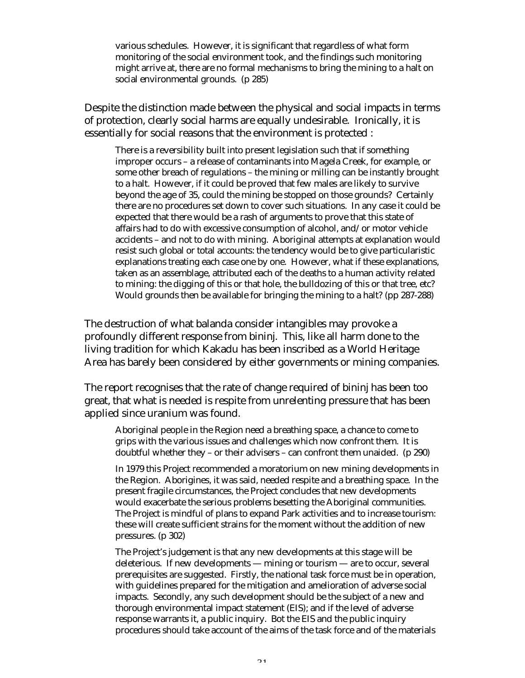various schedules. However, it is significant that regardless of what form monitoring of the social environment took, and the findings such monitoring might arrive at, there are no formal mechanisms to bring the mining to a halt on social environmental grounds. (p 285)

Despite the distinction made between the physical and social impacts in terms of protection, clearly social harms are equally undesirable. Ironically, it is essentially for social reasons that the environment is protected :

There is a reversibility built into present legislation such that if something improper occurs – a release of contaminants into Magela Creek, for example, or some other breach of regulations – the mining or milling can be instantly brought to a halt. However, if it could be proved that few males are likely to survive beyond the age of 35, could the mining be stopped on those grounds? Certainly there are no procedures set down to cover such situations. In any case it could be expected that there would be a rash of arguments to prove that this state of affairs had to do with excessive consumption of alcohol, and/or motor vehicle accidents – and not to do with mining. Aboriginal attempts at explanation would resist such global or total accounts: the tendency would be to give particularistic explanations treating each case one by one. However, what if these explanations, taken as an assemblage, attributed each of the deaths to a human activity related to mining: the digging of this or that hole, the bulldozing of this or that tree, etc? Would grounds then be available for bringing the mining to a halt? (pp 287-288)

The destruction of what balanda consider intangibles may provoke a profoundly different response from bininj. This, like all harm done to the living tradition for which Kakadu has been inscribed as a World Heritage Area has barely been considered by either governments or mining companies.

The report recognises that the rate of change required of bininj has been too great, that what is needed is respite from unrelenting pressure that has been applied since uranium was found.

Aboriginal people in the Region need a breathing space, a chance to come to grips with the various issues and challenges which now confront them. It is doubtful whether they – or their advisers – can confront them unaided. (p 290)

In 1979 this Project recommended a moratorium on new mining developments in the Region. Aborigines, it was said, needed respite and a breathing space. In the present fragile circumstances, the Project concludes that new developments would exacerbate the serious problems besetting the Aboriginal communities. The Project is mindful of plans to expand Park activities and to increase tourism: these will create sufficient strains for the moment without the addition of new pressures. (p 302)

The Project's judgement is that any new developments at this stage will be deleterious. If new developments — mining or tourism — are to occur, several prerequisites are suggested. Firstly, the national task force must be in operation, with guidelines prepared for the mitigation and amelioration of adverse social impacts. Secondly, any such development should be the subject of a new and thorough environmental impact statement (EIS); and if the level of adverse response warrants it, a public inquiry. Bot the EIS and the public inquiry procedures should take account of the aims of the task force and of the materials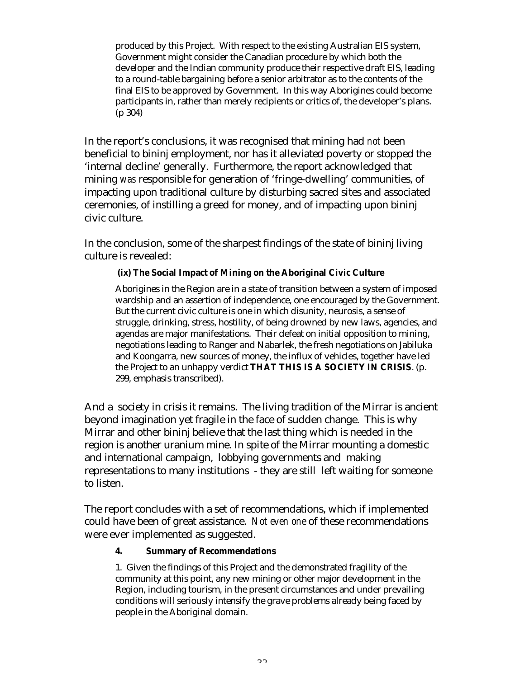produced by this Project. With respect to the existing Australian EIS system, Government might consider the Canadian procedure by which both the developer and the Indian community produce their respective draft EIS, leading to a round-table bargaining before a senior arbitrator as to the contents of the final EIS to be approved by Government. In this way Aborigines could become participants in, rather than merely recipients or critics of, the developer's plans. (p 304)

In the report's conclusions, it was recognised that mining had *not* been beneficial to bininj employment, nor has it alleviated poverty or stopped the 'internal decline' generally. Furthermore, the report acknowledged that mining *was* responsible for generation of 'fringe-dwelling' communities, of impacting upon traditional culture by disturbing sacred sites and associated ceremonies, of instilling a greed for money, and of impacting upon bininj civic culture.

In the conclusion, some of the sharpest findings of the state of bininj living culture is revealed:

## **(ix) The Social Impact of Mining on the Aboriginal Civic Culture**

Aborigines in the Region are in a state of transition between a system of imposed wardship and an assertion of independence, one encouraged by the Government. But the current civic culture is one in which disunity, neurosis, a sense of struggle, drinking, stress, hostility, of being drowned by new laws, agencies, and agendas are major manifestations. Their defeat on initial opposition to mining, negotiations leading to Ranger and Nabarlek, the fresh negotiations on Jabiluka and Koongarra, new sources of money, the influx of vehicles, together have led the Project to an unhappy verdict **THAT THIS IS A SOCIETY IN CRISIS**. (p. 299, emphasis transcribed).

And a society in crisis it remains. The living tradition of the Mirrar is ancient beyond imagination yet fragile in the face of sudden change. This is why Mirrar and other bininj believe that the last thing which is needed in the region is another uranium mine. In spite of the Mirrar mounting a domestic and international campaign, lobbying governments and making representations to many institutions - they are still left waiting for someone to listen.

The report concludes with a set of recommendations, which if implemented could have been of great assistance. *Not even one* of these recommendations were ever implemented as suggested.

#### **4. Summary of Recommendations**

1. Given the findings of this Project and the demonstrated fragility of the community at this point, any new mining or other major development in the Region, including tourism, in the present circumstances and under prevailing conditions will seriously intensify the grave problems already being faced by people in the Aboriginal domain.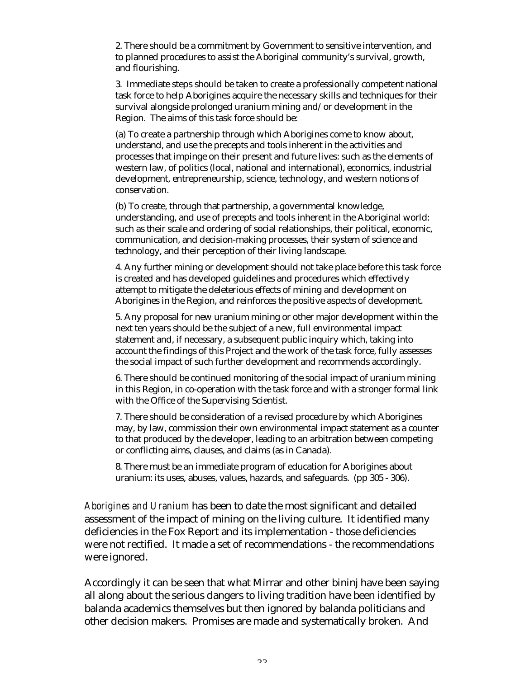2. There should be a commitment by Government to sensitive intervention, and to planned procedures to assist the Aboriginal community's survival, growth, and flourishing.

3. Immediate steps should be taken to create a professionally competent national task force to help Aborigines acquire the necessary skills and techniques for their survival alongside prolonged uranium mining and/or development in the Region. The aims of this task force should be:

(a) To create a partnership through which Aborigines come to know about, understand, and use the precepts and tools inherent in the activities and processes that impinge on their present and future lives: such as the elements of western law, of politics (local, national and international), economics, industrial development, entrepreneurship, science, technology, and western notions of conservation.

(b) To create, through that partnership, a governmental knowledge, understanding, and use of precepts and tools inherent in the Aboriginal world: such as their scale and ordering of social relationships, their political, economic, communication, and decision-making processes, their system of science and technology, and their perception of their living landscape.

4. Any further mining or development should not take place before this task force is created and has developed guidelines and procedures which effectively attempt to mitigate the deleterious effects of mining and development on Aborigines in the Region, and reinforces the positive aspects of development.

5. Any proposal for new uranium mining or other major development within the next ten years should be the subject of a new, full environmental impact statement and, if necessary, a subsequent public inquiry which, taking into account the findings of this Project and the work of the task force, fully assesses the social impact of such further development and recommends accordingly.

6. There should be continued monitoring of the social impact of uranium mining in this Region, in co-operation with the task force and with a stronger formal link with the Office of the Supervising Scientist.

7. There should be consideration of a revised procedure by which Aborigines may, by law, commission their own environmental impact statement as a counter to that produced by the developer, leading to an arbitration between competing or conflicting aims, clauses, and claims (as in Canada).

8. There must be an immediate program of education for Aborigines about uranium: its uses, abuses, values, hazards, and safeguards. (pp 305 - 306).

*Aborigines and Uranium* has been to date the most significant and detailed assessment of the impact of mining on the living culture. It identified many deficiencies in the Fox Report and its implementation - those deficiencies were not rectified. It made a set of recommendations - the recommendations were ignored.

Accordingly it can be seen that what Mirrar and other bininj have been saying all along about the serious dangers to living tradition have been identified by balanda academics themselves but then ignored by balanda politicians and other decision makers. Promises are made and systematically broken. And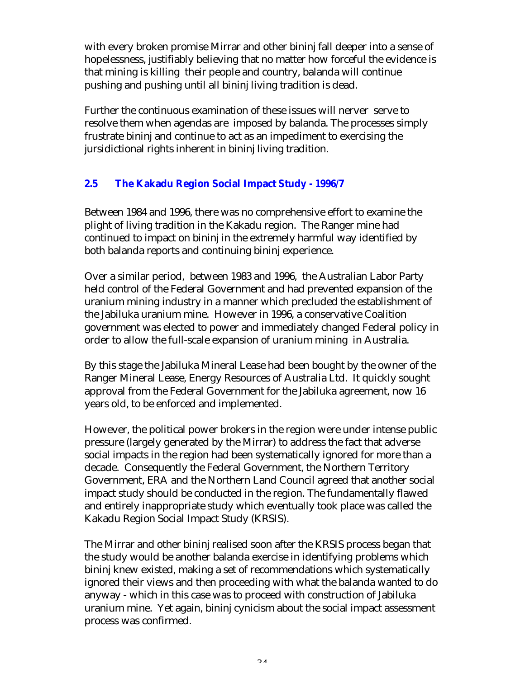with every broken promise Mirrar and other bininj fall deeper into a sense of hopelessness, justifiably believing that no matter how forceful the evidence is that mining is killing their people and country, balanda will continue pushing and pushing until all bininj living tradition is dead.

Further the continuous examination of these issues will nerver serve to resolve them when agendas are imposed by balanda. The processes simply frustrate bininj and continue to act as an impediment to exercising the jursidictional rights inherent in bininj living tradition.

## **2.5 The Kakadu Region Social Impact Study - 1996/7**

Between 1984 and 1996, there was no comprehensive effort to examine the plight of living tradition in the Kakadu region. The Ranger mine had continued to impact on bininj in the extremely harmful way identified by both balanda reports and continuing bininj experience.

Over a similar period, between 1983 and 1996, the Australian Labor Party held control of the Federal Government and had prevented expansion of the uranium mining industry in a manner which precluded the establishment of the Jabiluka uranium mine. However in 1996, a conservative Coalition government was elected to power and immediately changed Federal policy in order to allow the full-scale expansion of uranium mining in Australia.

By this stage the Jabiluka Mineral Lease had been bought by the owner of the Ranger Mineral Lease, Energy Resources of Australia Ltd. It quickly sought approval from the Federal Government for the Jabiluka agreement, now 16 years old, to be enforced and implemented.

However, the political power brokers in the region were under intense public pressure (largely generated by the Mirrar) to address the fact that adverse social impacts in the region had been systematically ignored for more than a decade. Consequently the Federal Government, the Northern Territory Government, ERA and the Northern Land Council agreed that another social impact study should be conducted in the region. The fundamentally flawed and entirely inappropriate study which eventually took place was called the Kakadu Region Social Impact Study (KRSIS).

The Mirrar and other bininj realised soon after the KRSIS process began that the study would be another balanda exercise in identifying problems which bininj knew existed, making a set of recommendations which systematically ignored their views and then proceeding with what the balanda wanted to do anyway - which in this case was to proceed with construction of Jabiluka uranium mine. Yet again, bininj cynicism about the social impact assessment process was confirmed.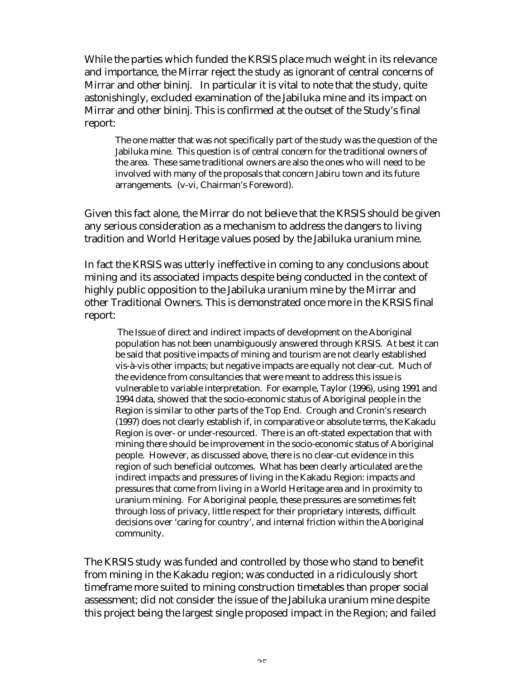While the parties which funded the KRSIS place much weight in its relevance and importance, the Mirrar reject the study as ignorant of central concerns of Mirrar and other bininj. In particular it is vital to note that the study, quite astonishingly, excluded examination of the Jabiluka mine and its impact on Mirrar and other bininj. This is confirmed at the outset of the Study's final report:

The one matter that was not specifically part of the study was the question of the Jabiluka mine. This question is of central concern for the traditional owners of the area. These same traditional owners are also the ones who will need to be involved with many of the proposals that concern Jabiru town and its future arrangements. (v-vi, Chairman's Foreword).

Given this fact alone, the Mirrar do not believe that the KRSIS should be given any serious consideration as a mechanism to address the dangers to living tradition and World Heritage values posed by the Jabiluka uranium mine.

In fact the KRSIS was utterly ineffective in coming to any conclusions about mining and its associated impacts despite being conducted in the context of highly public opposition to the Jabiluka uranium mine by the Mirrar and other Traditional Owners. This is demonstrated once more in the KRSIS final report:

 The Issue of direct and indirect impacts of development on the Aboriginal population has not been unambiguously answered through KRSIS. At best it can be said that positive impacts of mining and tourism are not clearly established vis-à-vis other impacts; but negative impacts are equally not clear-cut. Much of the evidence from consultancies that were meant to address this issue is vulnerable to variable interpretation. For example, Taylor (1996), using 1991 and 1994 data, showed that the socio-economic status of Aboriginal people in the Region is similar to other parts of the Top End. Crough and Cronin's research (1997) does not clearly establish if, in comparative or absolute terms, the Kakadu Region is over- or under-resourced. There is an oft-stated expectation that with mining there should be improvement in the socio-economic status of Aboriginal people. However, as discussed above, there is no clear-cut evidence in this region of such beneficial outcomes. What has been clearly articulated are the indirect impacts and pressures of living in the Kakadu Region: impacts and pressures that come from living in a World Heritage area and in proximity to uranium mining. For Aboriginal people, these pressures are sometimes felt through loss of privacy, little respect for their proprietary interests, difficult decisions over 'caring for country', and internal friction within the Aboriginal community.

The KRSIS study was funded and controlled by those who stand to benefit from mining in the Kakadu region; was conducted in a ridiculously short timeframe more suited to mining construction timetables than proper social assessment; did not consider the issue of the Jabiluka uranium mine despite this project being the largest single proposed impact in the Region; and failed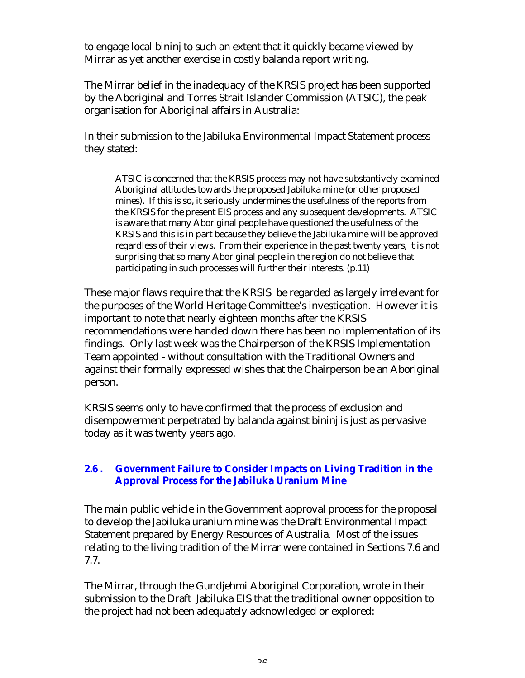to engage local bininj to such an extent that it quickly became viewed by Mirrar as yet another exercise in costly balanda report writing.

The Mirrar belief in the inadequacy of the KRSIS project has been supported by the Aboriginal and Torres Strait Islander Commission (ATSIC), the peak organisation for Aboriginal affairs in Australia:

In their submission to the Jabiluka Environmental Impact Statement process they stated:

ATSIC is concerned that the KRSIS process may not have substantively examined Aboriginal attitudes towards the proposed Jabiluka mine (or other proposed mines). If this is so, it seriously undermines the usefulness of the reports from the KRSIS for the present EIS process and any subsequent developments. ATSIC is aware that many Aboriginal people have questioned the usefulness of the KRSIS and this is in part because they believe the Jabiluka mine will be approved regardless of their views. From their experience in the past twenty years, it is not surprising that so many Aboriginal people in the region do not believe that participating in such processes will further their interests. (p.11)

These major flaws require that the KRSIS be regarded as largely irrelevant for the purposes of the World Heritage Committee's investigation. However it is important to note that nearly eighteen months after the KRSIS recommendations were handed down there has been no implementation of its findings. Only last week was the Chairperson of the KRSIS Implementation Team appointed - without consultation with the Traditional Owners and against their formally expressed wishes that the Chairperson be an Aboriginal person.

KRSIS seems only to have confirmed that the process of exclusion and disempowerment perpetrated by balanda against bininj is just as pervasive today as it was twenty years ago.

## **2.6 . Government Failure to Consider Impacts on Living Tradition in the Approval Process for the Jabiluka Uranium Mine**

The main public vehicle in the Government approval process for the proposal to develop the Jabiluka uranium mine was the Draft Environmental Impact Statement prepared by Energy Resources of Australia. Most of the issues relating to the living tradition of the Mirrar were contained in Sections 7.6 and 7.7.

The Mirrar, through the Gundjehmi Aboriginal Corporation, wrote in their submission to the Draft Jabiluka EIS that the traditional owner opposition to the project had not been adequately acknowledged or explored: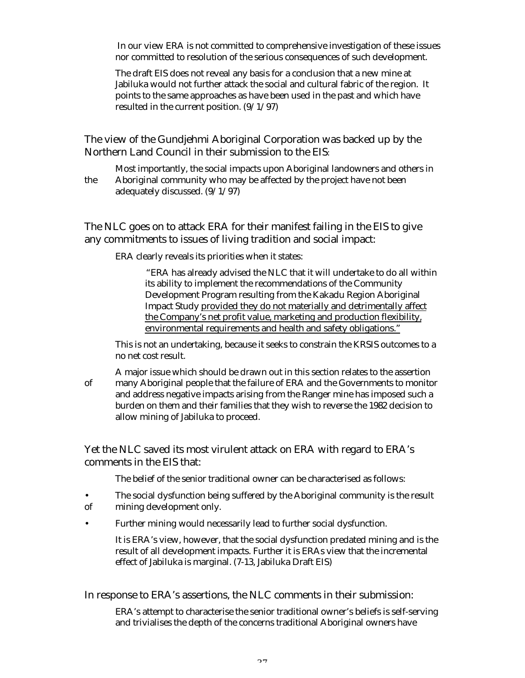In our view ERA is not committed to comprehensive investigation of these issues nor committed to resolution of the serious consequences of such development.

The draft EIS does not reveal any basis for a conclusion that a new mine at Jabiluka would not further attack the social and cultural fabric of the region. It points to the same approaches as have been used in the past and which have resulted in the current position. (9/1/97)

The view of the Gundjehmi Aboriginal Corporation was backed up by the Northern Land Council in their submission to the EIS:

Most importantly, the social impacts upon Aboriginal landowners and others in the Aboriginal community who may be affected by the project have not been adequately discussed. (9/1/97)

The NLC goes on to attack ERA for their manifest failing in the EIS to give any commitments to issues of living tradition and social impact:

ERA clearly reveals its priorities when it states:

"ERA has already advised the NLC that it will undertake to do all within its ability to implement the recommendations of the Community Development Program resulting from the Kakadu Region Aboriginal Impact Study provided they do not materially and detrimentally affect the Company's net profit value, marketing and production flexibility, environmental requirements and health and safety obligations."

This is not an undertaking, because it seeks to constrain the KRSIS outcomes to a no net cost result.

A major issue which should be drawn out in this section relates to the assertion of many Aboriginal people that the failure of ERA and the Governments to monitor and address negative impacts arising from the Ranger mine has imposed such a burden on them and their families that they wish to reverse the 1982 decision to allow mining of Jabiluka to proceed.

Yet the NLC saved its most virulent attack on ERA with regard to ERA's comments in the EIS that:

The belief of the senior traditional owner can be characterised as follows:

- The social dysfunction being suffered by the Aboriginal community is the result of mining development only.
- Further mining would necessarily lead to further social dysfunction.

It is ERA's view, however, that the social dysfunction predated mining and is the result of all development impacts. Further it is ERAs view that the incremental effect of Jabiluka is marginal. (7-13, Jabiluka Draft EIS)

In response to ERA's assertions, the NLC comments in their submission:

ERA's attempt to characterise the senior traditional owner's beliefs is self-serving and trivialises the depth of the concerns traditional Aboriginal owners have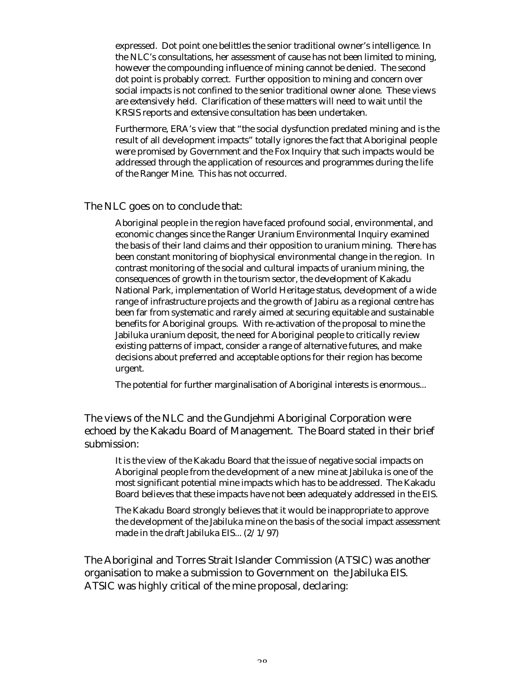expressed. Dot point one belittles the senior traditional owner's intelligence. In the NLC's consultations, her assessment of cause has not been limited to mining, however the compounding influence of mining cannot be denied. The second dot point is probably correct. Further opposition to mining and concern over social impacts is not confined to the senior traditional owner alone. These views are extensively held. Clarification of these matters will need to wait until the KRSIS reports and extensive consultation has been undertaken.

Furthermore, ERA's view that "the social dysfunction predated mining and is the result of all development impacts" totally ignores the fact that Aboriginal people were promised by Government and the Fox Inquiry that such impacts would be addressed through the application of resources and programmes during the life of the Ranger Mine. This has not occurred.

#### The NLC goes on to conclude that:

Aboriginal people in the region have faced profound social, environmental, and economic changes since the Ranger Uranium Environmental Inquiry examined the basis of their land claims and their opposition to uranium mining. There has been constant monitoring of biophysical environmental change in the region. In contrast monitoring of the social and cultural impacts of uranium mining, the consequences of growth in the tourism sector, the development of Kakadu National Park, implementation of World Heritage status, development of a wide range of infrastructure projects and the growth of Jabiru as a regional centre has been far from systematic and rarely aimed at securing equitable and sustainable benefits for Aboriginal groups. With re-activation of the proposal to mine the Jabiluka uranium deposit, the need for Aboriginal people to critically review existing patterns of impact, consider a range of alternative futures, and make decisions about preferred and acceptable options for their region has become urgent.

The potential for further marginalisation of Aboriginal interests is enormous...

The views of the NLC and the Gundjehmi Aboriginal Corporation were echoed by the Kakadu Board of Management. The Board stated in their brief submission:

It is the view of the Kakadu Board that the issue of negative social impacts on Aboriginal people from the development of a new mine at Jabiluka is one of the most significant potential mine impacts which has to be addressed. The Kakadu Board believes that these impacts have not been adequately addressed in the EIS.

The Kakadu Board strongly believes that it would be inappropriate to approve the development of the Jabiluka mine on the basis of the social impact assessment made in the draft Jabiluka EIS... (2/1/97)

The Aboriginal and Torres Strait Islander Commission (ATSIC) was another organisation to make a submission to Government on the Jabiluka EIS. ATSIC was highly critical of the mine proposal, declaring: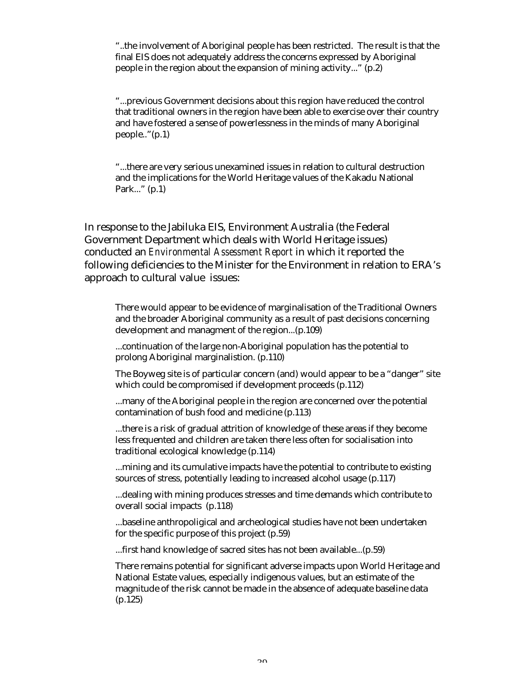"..the involvement of Aboriginal people has been restricted. The result is that the final EIS does not adequately address the concerns expressed by Aboriginal people in the region about the expansion of mining activity..." (p.2)

"...previous Government decisions about this region have reduced the control that traditional owners in the region have been able to exercise over their country and have fostered a sense of powerlessness in the minds of many Aboriginal people.."(p.1)

"...there are very serious unexamined issues in relation to cultural destruction and the implications for the World Heritage values of the Kakadu National Park..." (p.1)

In response to the Jabiluka EIS, Environment Australia (the Federal Government Department which deals with World Heritage issues) conducted an *Environmental Assessment Report* in which it reported the following deficiencies to the Minister for the Environment in relation to ERA's approach to cultural value issues:

There would appear to be evidence of marginalisation of the Traditional Owners and the broader Aboriginal community as a result of past decisions concerning development and managment of the region...(p.109)

...continuation of the large non-Aboriginal population has the potential to prolong Aboriginal marginalistion. (p.110)

The Boyweg site is of particular concern (and) would appear to be a "danger" site which could be compromised if development proceeds (p.112)

...many of the Aboriginal people in the region are concerned over the potential contamination of bush food and medicine (p.113)

...there is a risk of gradual attrition of knowledge of these areas if they become less frequented and children are taken there less often for socialisation into traditional ecological knowledge (p.114)

...mining and its cumulative impacts have the potential to contribute to existing sources of stress, potentially leading to increased alcohol usage (p.117)

...dealing with mining produces stresses and time demands which contribute to overall social impacts (p.118)

...baseline anthropoligical and archeological studies have not been undertaken for the specific purpose of this project (p.59)

...first hand knowledge of sacred sites has not been available...(p.59)

There remains potential for significant adverse impacts upon World Heritage and National Estate values, especially indigenous values, but an estimate of the magnitude of the risk cannot be made in the absence of adequate baseline data (p.125)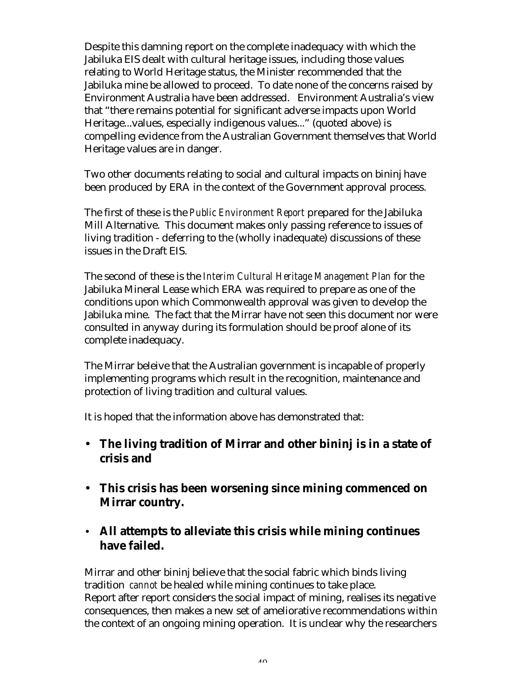Despite this damning report on the complete inadequacy with which the Jabiluka EIS dealt with cultural heritage issues, including those values relating to World Heritage status, the Minister recommended that the Jabiluka mine be allowed to proceed. To date none of the concerns raised by Environment Australia have been addressed. Environment Australia's view that "there remains potential for significant adverse impacts upon World Heritage...values, especially indigenous values..." (quoted above) is compelling evidence from the Australian Government themselves that World Heritage values are in danger.

Two other documents relating to social and cultural impacts on bininj have been produced by ERA in the context of the Government approval process.

The first of these is the *Public Environment Report* prepared for the Jabiluka Mill Alternative. This document makes only passing reference to issues of living tradition - deferring to the (wholly inadequate) discussions of these issues in the Draft EIS.

The second of these is the *Interim Cultural Heritage Management Plan* for the Jabiluka Mineral Lease which ERA was required to prepare as one of the conditions upon which Commonwealth approval was given to develop the Jabiluka mine. The fact that the Mirrar have not seen this document nor were consulted in anyway during its formulation should be proof alone of its complete inadequacy.

The Mirrar beleive that the Australian government is incapable of properly implementing programs which result in the recognition, maintenance and protection of living tradition and cultural values.

It is hoped that the information above has demonstrated that:

- **The living tradition of Mirrar and other bininj is in a state of crisis and**
- **This crisis has been worsening since mining commenced on Mirrar country.**
- **All attempts to alleviate this crisis while mining continues have failed.**

Mirrar and other bininj believe that the social fabric which binds living tradition *cannot* be healed while mining continues to take place. Report after report considers the social impact of mining, realises its negative consequences, then makes a new set of ameliorative recommendations within the context of an ongoing mining operation. It is unclear why the researchers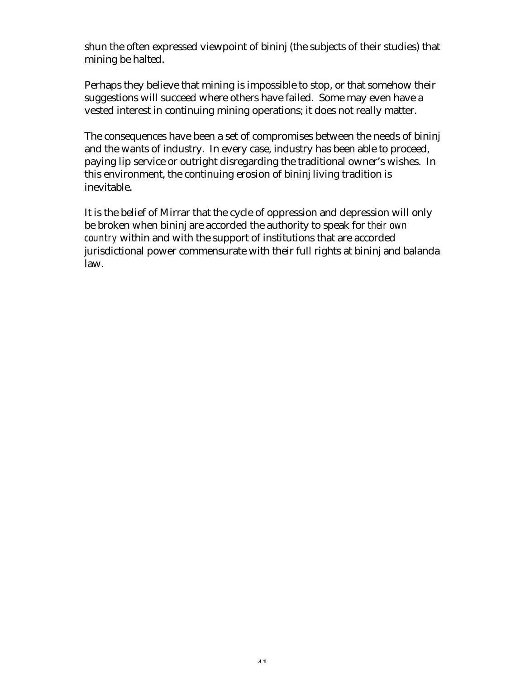shun the often expressed viewpoint of bininj (the subjects of their studies) that mining be halted.

Perhaps they believe that mining is impossible to stop, or that somehow their suggestions will succeed where others have failed. Some may even have a vested interest in continuing mining operations; it does not really matter.

The consequences have been a set of compromises between the needs of bininj and the wants of industry. In every case, industry has been able to proceed, paying lip service or outright disregarding the traditional owner's wishes. In this environment, the continuing erosion of bininj living tradition is inevitable.

It is the belief of Mirrar that the cycle of oppression and depression will only be broken when bininj are accorded the authority to speak for *their own country* within and with the support of institutions that are accorded jurisdictional power commensurate with their full rights at bininj and balanda law.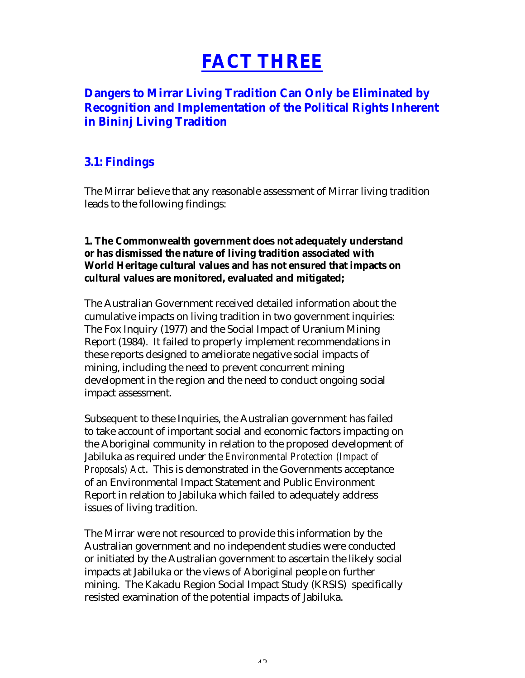# **FACT THREE**

## **Dangers to Mirrar Living Tradition Can Only be Eliminated by Recognition and Implementation of the Political Rights Inherent in Bininj Living Tradition**

## **3.1: Findings**

The Mirrar believe that any reasonable assessment of Mirrar living tradition leads to the following findings:

## **1. The Commonwealth government does not adequately understand or has dismissed the nature of living tradition associated with World Heritage cultural values and has not ensured that impacts on cultural values are monitored, evaluated and mitigated;**

The Australian Government received detailed information about the cumulative impacts on living tradition in two government inquiries: The Fox Inquiry (1977) and the Social Impact of Uranium Mining Report (1984). It failed to properly implement recommendations in these reports designed to ameliorate negative social impacts of mining, including the need to prevent concurrent mining development in the region and the need to conduct ongoing social impact assessment.

Subsequent to these Inquiries, the Australian government has failed to take account of important social and economic factors impacting on the Aboriginal community in relation to the proposed development of Jabiluka as required under the *Environmental Protection (Impact of Proposals) Act*. This is demonstrated in the Governments acceptance of an Environmental Impact Statement and Public Environment Report in relation to Jabiluka which failed to adequately address issues of living tradition.

The Mirrar were not resourced to provide this information by the Australian government and no independent studies were conducted or initiated by the Australian government to ascertain the likely social impacts at Jabiluka or the views of Aboriginal people on further mining. The Kakadu Region Social Impact Study (KRSIS) specifically resisted examination of the potential impacts of Jabiluka.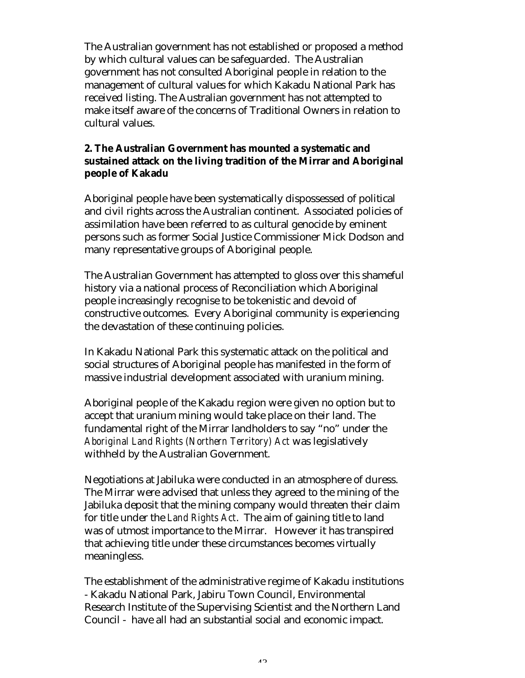The Australian government has not established or proposed a method by which cultural values can be safeguarded. The Australian government has not consulted Aboriginal people in relation to the management of cultural values for which Kakadu National Park has received listing. The Australian government has not attempted to make itself aware of the concerns of Traditional Owners in relation to cultural values.

## **2. The Australian Government has mounted a systematic and sustained attack on the living tradition of the Mirrar and Aboriginal people of Kakadu**

Aboriginal people have been systematically dispossessed of political and civil rights across the Australian continent. Associated policies of assimilation have been referred to as cultural genocide by eminent persons such as former Social Justice Commissioner Mick Dodson and many representative groups of Aboriginal people.

The Australian Government has attempted to gloss over this shameful history via a national process of Reconciliation which Aboriginal people increasingly recognise to be tokenistic and devoid of constructive outcomes. Every Aboriginal community is experiencing the devastation of these continuing policies.

In Kakadu National Park this systematic attack on the political and social structures of Aboriginal people has manifested in the form of massive industrial development associated with uranium mining.

Aboriginal people of the Kakadu region were given no option but to accept that uranium mining would take place on their land. The fundamental right of the Mirrar landholders to say "no" under the *Aboriginal Land Rights (Northern Territory) Act* was legislatively withheld by the Australian Government.

Negotiations at Jabiluka were conducted in an atmosphere of duress. The Mirrar were advised that unless they agreed to the mining of the Jabiluka deposit that the mining company would threaten their claim for title under the *Land Rights Act*. The aim of gaining title to land was of utmost importance to the Mirrar. However it has transpired that achieving title under these circumstances becomes virtually meaningless.

The establishment of the administrative regime of Kakadu institutions - Kakadu National Park, Jabiru Town Council, Environmental Research Institute of the Supervising Scientist and the Northern Land Council - have all had an substantial social and economic impact.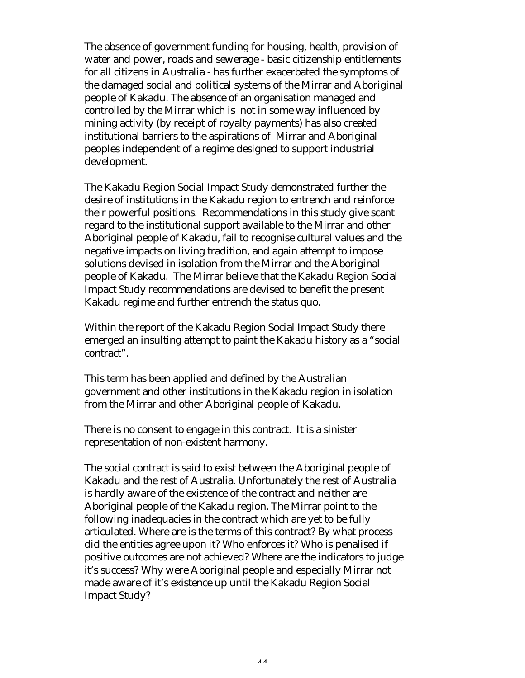The absence of government funding for housing, health, provision of water and power, roads and sewerage - basic citizenship entitlements for all citizens in Australia - has further exacerbated the symptoms of the damaged social and political systems of the Mirrar and Aboriginal people of Kakadu. The absence of an organisation managed and controlled by the Mirrar which is not in some way influenced by mining activity (by receipt of royalty payments) has also created institutional barriers to the aspirations of Mirrar and Aboriginal peoples independent of a regime designed to support industrial development.

The Kakadu Region Social Impact Study demonstrated further the desire of institutions in the Kakadu region to entrench and reinforce their powerful positions. Recommendations in this study give scant regard to the institutional support available to the Mirrar and other Aboriginal people of Kakadu, fail to recognise cultural values and the negative impacts on living tradition, and again attempt to impose solutions devised in isolation from the Mirrar and the Aboriginal people of Kakadu. The Mirrar believe that the Kakadu Region Social Impact Study recommendations are devised to benefit the present Kakadu regime and further entrench the status quo.

Within the report of the Kakadu Region Social Impact Study there emerged an insulting attempt to paint the Kakadu history as a "social contract".

This term has been applied and defined by the Australian government and other institutions in the Kakadu region in isolation from the Mirrar and other Aboriginal people of Kakadu.

There is no consent to engage in this contract. It is a sinister representation of non-existent harmony.

The social contract is said to exist between the Aboriginal people of Kakadu and the rest of Australia. Unfortunately the rest of Australia is hardly aware of the existence of the contract and neither are Aboriginal people of the Kakadu region. The Mirrar point to the following inadequacies in the contract which are yet to be fully articulated. Where are is the terms of this contract? By what process did the entities agree upon it? Who enforces it? Who is penalised if positive outcomes are not achieved? Where are the indicators to judge it's success? Why were Aboriginal people and especially Mirrar not made aware of it's existence up until the Kakadu Region Social Impact Study?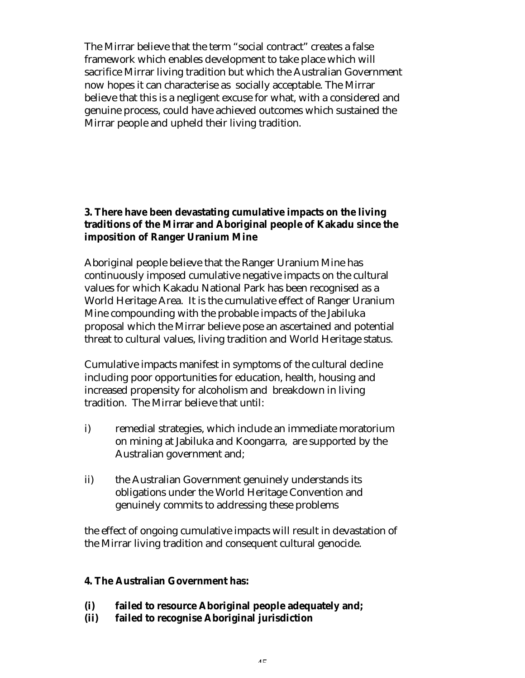The Mirrar believe that the term "social contract" creates a false framework which enables development to take place which will sacrifice Mirrar living tradition but which the Australian Government now hopes it can characterise as socially acceptable. The Mirrar believe that this is a negligent excuse for what, with a considered and genuine process, could have achieved outcomes which sustained the Mirrar people and upheld their living tradition.

## **3. There have been devastating cumulative impacts on the living traditions of the Mirrar and Aboriginal people of Kakadu since the imposition of Ranger Uranium Mine**

Aboriginal people believe that the Ranger Uranium Mine has continuously imposed cumulative negative impacts on the cultural values for which Kakadu National Park has been recognised as a World Heritage Area. It is the cumulative effect of Ranger Uranium Mine compounding with the probable impacts of the Jabiluka proposal which the Mirrar believe pose an ascertained and potential threat to cultural values, living tradition and World Heritage status.

Cumulative impacts manifest in symptoms of the cultural decline including poor opportunities for education, health, housing and increased propensity for alcoholism and breakdown in living tradition. The Mirrar believe that until:

- i) remedial strategies, which include an immediate moratorium on mining at Jabiluka and Koongarra, are supported by the Australian government and;
- ii) the Australian Government genuinely understands its obligations under the World Heritage Convention and genuinely commits to addressing these problems

the effect of ongoing cumulative impacts will result in devastation of the Mirrar living tradition and consequent cultural genocide.

## **4. The Australian Government has:**

## **(i) failed to resource Aboriginal people adequately and;**

**(ii) failed to recognise Aboriginal jurisdiction**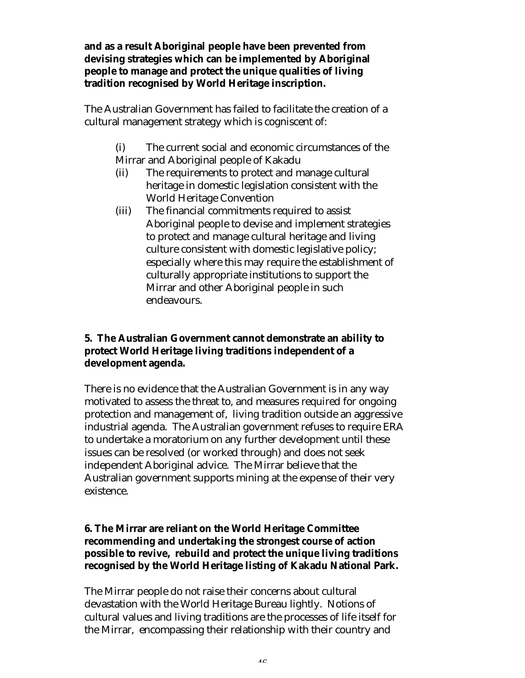**and as a result Aboriginal people have been prevented from devising strategies which can be implemented by Aboriginal people to manage and protect the unique qualities of living tradition recognised by World Heritage inscription.**

The Australian Government has failed to facilitate the creation of a cultural management strategy which is cogniscent of:

- (i) The current social and economic circumstances of the Mirrar and Aboriginal people of Kakadu
- (ii) The requirements to protect and manage cultural heritage in domestic legislation consistent with the World Heritage Convention
- (iii) The financial commitments required to assist Aboriginal people to devise and implement strategies to protect and manage cultural heritage and living culture consistent with domestic legislative policy; especially where this may require the establishment of culturally appropriate institutions to support the Mirrar and other Aboriginal people in such endeavours.

## **5. The Australian Government cannot demonstrate an ability to protect World Heritage living traditions independent of a development agenda.**

There is no evidence that the Australian Government is in any way motivated to assess the threat to, and measures required for ongoing protection and management of, living tradition outside an aggressive industrial agenda. The Australian government refuses to require ERA to undertake a moratorium on any further development until these issues can be resolved (or worked through) and does not seek independent Aboriginal advice. The Mirrar believe that the Australian government supports mining at the expense of their very existence.

## **6. The Mirrar are reliant on the World Heritage Committee recommending and undertaking the strongest course of action possible to revive, rebuild and protect the unique living traditions recognised by the World Heritage listing of Kakadu National Park.**

The Mirrar people do not raise their concerns about cultural devastation with the World Heritage Bureau lightly. Notions of cultural values and living traditions are the processes of life itself for the Mirrar, encompassing their relationship with their country and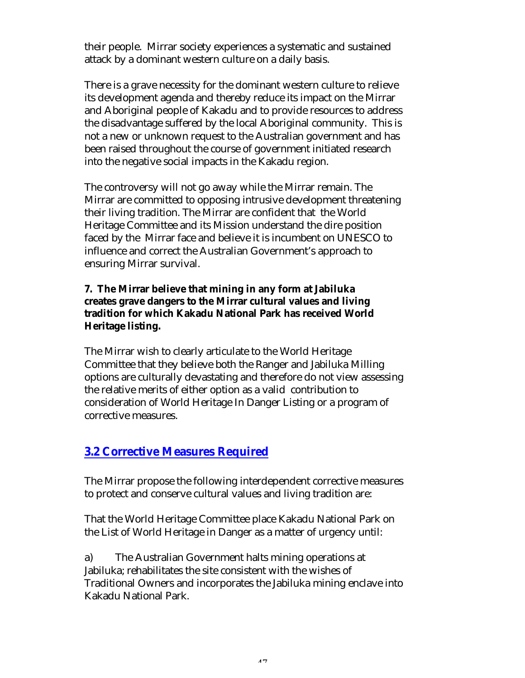their people. Mirrar society experiences a systematic and sustained attack by a dominant western culture on a daily basis.

There is a grave necessity for the dominant western culture to relieve its development agenda and thereby reduce its impact on the Mirrar and Aboriginal people of Kakadu and to provide resources to address the disadvantage suffered by the local Aboriginal community. This is not a new or unknown request to the Australian government and has been raised throughout the course of government initiated research into the negative social impacts in the Kakadu region.

The controversy will not go away while the Mirrar remain. The Mirrar are committed to opposing intrusive development threatening their living tradition. The Mirrar are confident that the World Heritage Committee and its Mission understand the dire position faced by the Mirrar face and believe it is incumbent on UNESCO to influence and correct the Australian Government's approach to ensuring Mirrar survival.

## **7. The Mirrar believe that mining in any form at Jabiluka creates grave dangers to the Mirrar cultural values and living tradition for which Kakadu National Park has received World Heritage listing.**

The Mirrar wish to clearly articulate to the World Heritage Committee that they believe both the Ranger and Jabiluka Milling options are culturally devastating and therefore do not view assessing the relative merits of either option as a valid contribution to consideration of World Heritage In Danger Listing or a program of corrective measures.

## **3.2 Corrective Measures Required**

The Mirrar propose the following interdependent corrective measures to protect and conserve cultural values and living tradition are:

That the World Heritage Committee place Kakadu National Park on the List of World Heritage in Danger as a matter of urgency until:

a) The Australian Government halts mining operations at Jabiluka; rehabilitates the site consistent with the wishes of Traditional Owners and incorporates the Jabiluka mining enclave into Kakadu National Park.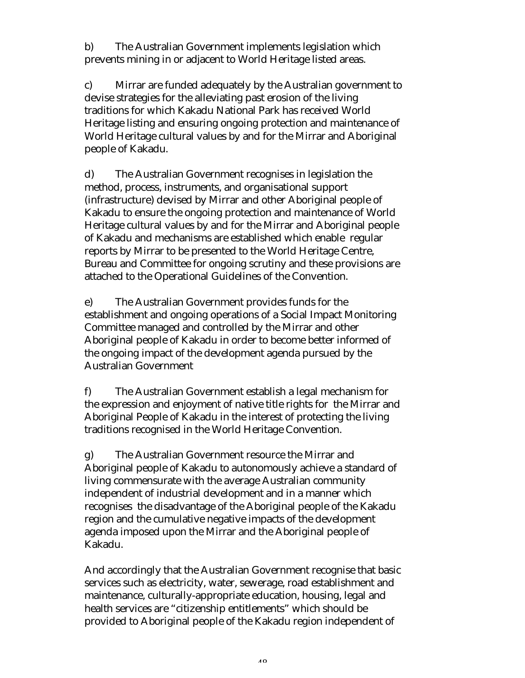b) The Australian Government implements legislation which prevents mining in or adjacent to World Heritage listed areas.

c) Mirrar are funded adequately by the Australian government to devise strategies for the alleviating past erosion of the living traditions for which Kakadu National Park has received World Heritage listing and ensuring ongoing protection and maintenance of World Heritage cultural values by and for the Mirrar and Aboriginal people of Kakadu.

d) The Australian Government recognises in legislation the method, process, instruments, and organisational support (infrastructure) devised by Mirrar and other Aboriginal people of Kakadu to ensure the ongoing protection and maintenance of World Heritage cultural values by and for the Mirrar and Aboriginal people of Kakadu and mechanisms are established which enable regular reports by Mirrar to be presented to the World Heritage Centre, Bureau and Committee for ongoing scrutiny and these provisions are attached to the Operational Guidelines of the Convention.

e) The Australian Government provides funds for the establishment and ongoing operations of a Social Impact Monitoring Committee managed and controlled by the Mirrar and other Aboriginal people of Kakadu in order to become better informed of the ongoing impact of the development agenda pursued by the Australian Government

f) The Australian Government establish a legal mechanism for the expression and enjoyment of native title rights for the Mirrar and Aboriginal People of Kakadu in the interest of protecting the living traditions recognised in the World Heritage Convention.

g) The Australian Government resource the Mirrar and Aboriginal people of Kakadu to autonomously achieve a standard of living commensurate with the average Australian community independent of industrial development and in a manner which recognises the disadvantage of the Aboriginal people of the Kakadu region and the cumulative negative impacts of the development agenda imposed upon the Mirrar and the Aboriginal people of Kakadu.

And accordingly that the Australian Government recognise that basic services such as electricity, water, sewerage, road establishment and maintenance, culturally-appropriate education, housing, legal and health services are "citizenship entitlements" which should be provided to Aboriginal people of the Kakadu region independent of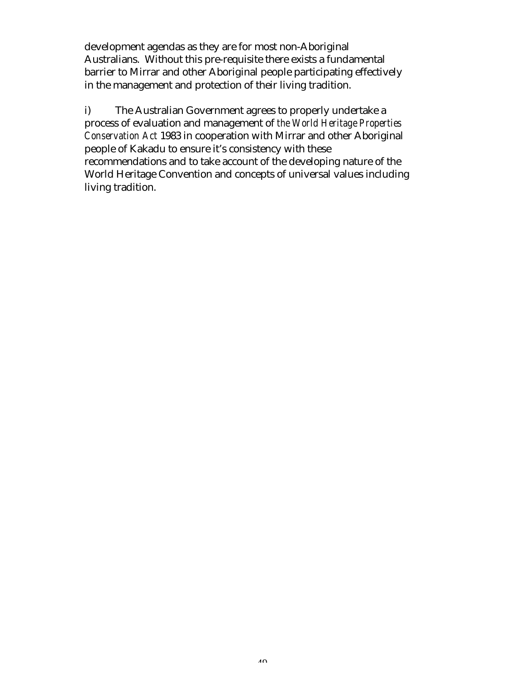development agendas as they are for most non-Aboriginal Australians. Without this pre-requisite there exists a fundamental barrier to Mirrar and other Aboriginal people participating effectively in the management and protection of their living tradition.

i) The Australian Government agrees to properly undertake a process of evaluation and management of *the World Heritage Properties Conservation Act* 1983 in cooperation with Mirrar and other Aboriginal people of Kakadu to ensure it's consistency with these recommendations and to take account of the developing nature of the World Heritage Convention and concepts of universal values including living tradition.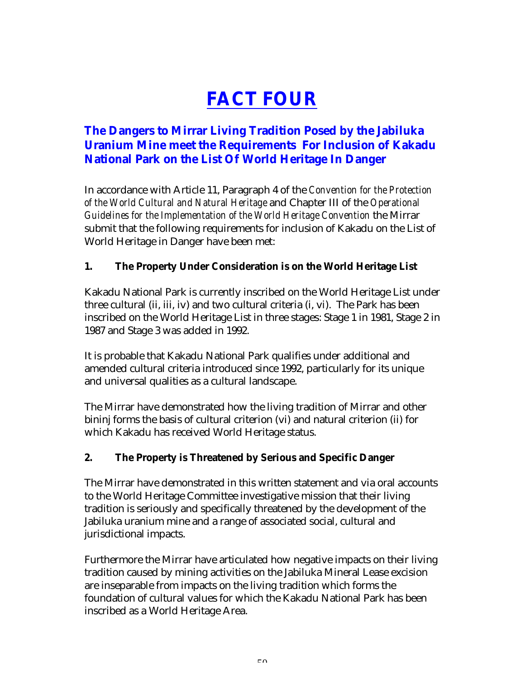# **FACT FOUR**

# **The Dangers to Mirrar Living Tradition Posed by the Jabiluka Uranium Mine meet the Requirements For Inclusion of Kakadu National Park on the List Of World Heritage In Danger**

In accordance with Article 11, Paragraph 4 of the *Convention for the Protection of the World Cultural and Natural Heritage* and Chapter III of the *Operational Guidelines for the Implementation of the World Heritage Convention* the Mirrar submit that the following requirements for inclusion of Kakadu on the List of World Heritage in Danger have been met:

## **1. The Property Under Consideration is on the World Heritage List**

Kakadu National Park is currently inscribed on the World Heritage List under three cultural (ii, iii, iv) and two cultural criteria (i, vi). The Park has been inscribed on the World Heritage List in three stages: Stage 1 in 1981, Stage 2 in 1987 and Stage 3 was added in 1992.

It is probable that Kakadu National Park qualifies under additional and amended cultural criteria introduced since 1992, particularly for its unique and universal qualities as a cultural landscape.

The Mirrar have demonstrated how the living tradition of Mirrar and other bininj forms the basis of cultural criterion (vi) and natural criterion (ii) for which Kakadu has received World Heritage status.

## **2. The Property is Threatened by Serious and Specific Danger**

The Mirrar have demonstrated in this written statement and via oral accounts to the World Heritage Committee investigative mission that their living tradition is seriously and specifically threatened by the development of the Jabiluka uranium mine and a range of associated social, cultural and jurisdictional impacts.

Furthermore the Mirrar have articulated how negative impacts on their living tradition caused by mining activities on the Jabiluka Mineral Lease excision are inseparable from impacts on the living tradition which forms the foundation of cultural values for which the Kakadu National Park has been inscribed as a World Heritage Area.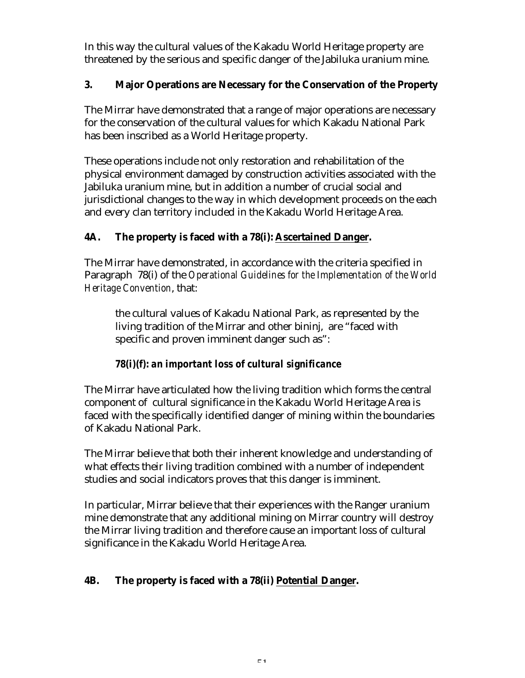In this way the cultural values of the Kakadu World Heritage property are threatened by the serious and specific danger of the Jabiluka uranium mine.

## **3. Major Operations are Necessary for the Conservation of the Property**

The Mirrar have demonstrated that a range of major operations are necessary for the conservation of the cultural values for which Kakadu National Park has been inscribed as a World Heritage property.

These operations include not only restoration and rehabilitation of the physical environment damaged by construction activities associated with the Jabiluka uranium mine, but in addition a number of crucial social and jurisdictional changes to the way in which development proceeds on the each and every clan territory included in the Kakadu World Heritage Area.

## **4A. The property is faced with a 78(i): Ascertained Danger.**

The Mirrar have demonstrated, in accordance with the criteria specified in Paragraph 78(i) of the *Operational Guidelines for the Implementation of the World Heritage Convention*, that:

the cultural values of Kakadu National Park, as represented by the living tradition of the Mirrar and other bininj, are "faced with specific and proven imminent danger such as":

## *78(i)(f): an important loss of cultural significance*

The Mirrar have articulated how the living tradition which forms the central component of cultural significance in the Kakadu World Heritage Area is faced with the specifically identified danger of mining within the boundaries of Kakadu National Park.

The Mirrar believe that both their inherent knowledge and understanding of what effects their living tradition combined with a number of independent studies and social indicators proves that this danger is imminent.

In particular, Mirrar believe that their experiences with the Ranger uranium mine demonstrate that any additional mining on Mirrar country will destroy the Mirrar living tradition and therefore cause an important loss of cultural significance in the Kakadu World Heritage Area.

## **4B. The property is faced with a 78(ii) Potential Danger.**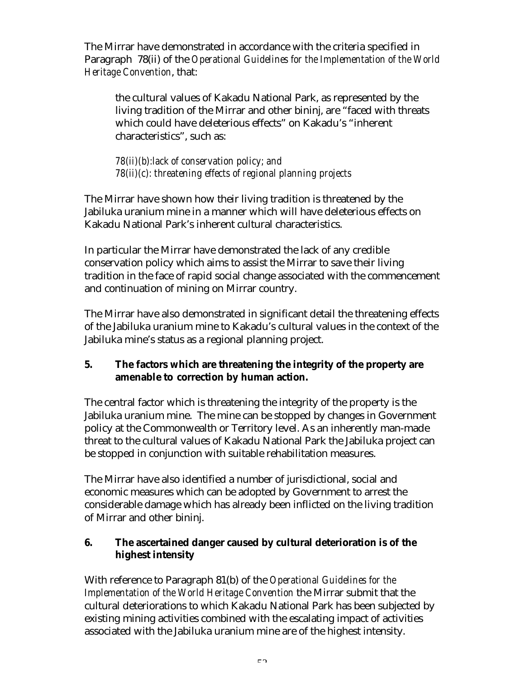The Mirrar have demonstrated in accordance with the criteria specified in Paragraph 78(ii) of the *Operational Guidelines for the Implementation of the World Heritage Convention*, that:

the cultural values of Kakadu National Park, as represented by the living tradition of the Mirrar and other bininj, are "faced with threats which could have deleterious effects" on Kakadu's "inherent characteristics", such as:

*78(ii)(b):lack of conservation policy; and 78(ii)(c): threatening effects of regional planning projects*

The Mirrar have shown how their living tradition is threatened by the Jabiluka uranium mine in a manner which will have deleterious effects on Kakadu National Park's inherent cultural characteristics.

In particular the Mirrar have demonstrated the lack of any credible conservation policy which aims to assist the Mirrar to save their living tradition in the face of rapid social change associated with the commencement and continuation of mining on Mirrar country.

The Mirrar have also demonstrated in significant detail the threatening effects of the Jabiluka uranium mine to Kakadu's cultural values in the context of the Jabiluka mine's status as a regional planning project.

## **5. The factors which are threatening the integrity of the property are amenable to correction by human action.**

The central factor which is threatening the integrity of the property is the Jabiluka uranium mine. The mine can be stopped by changes in Government policy at the Commonwealth or Territory level. As an inherently man-made threat to the cultural values of Kakadu National Park the Jabiluka project can be stopped in conjunction with suitable rehabilitation measures.

The Mirrar have also identified a number of jurisdictional, social and economic measures which can be adopted by Government to arrest the considerable damage which has already been inflicted on the living tradition of Mirrar and other bininj.

## **6. The ascertained danger caused by cultural deterioration is of the highest intensity**

With reference to Paragraph 81(b) of the *Operational Guidelines for the Implementation of the World Heritage Convention* the Mirrar submit that the cultural deteriorations to which Kakadu National Park has been subjected by existing mining activities combined with the escalating impact of activities associated with the Jabiluka uranium mine are of the highest intensity.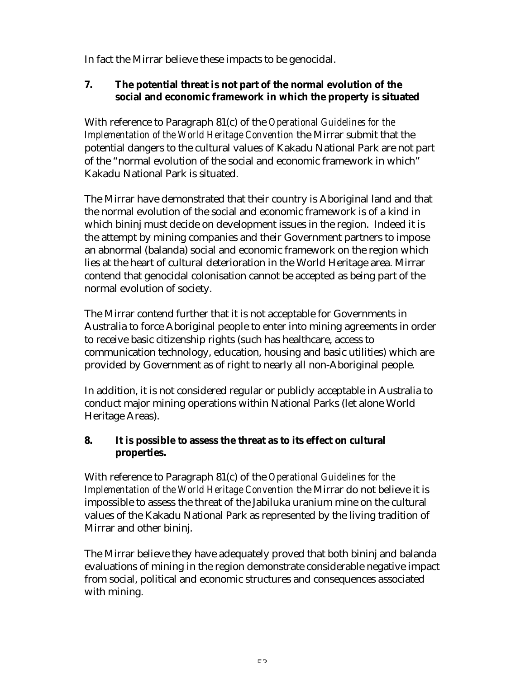In fact the Mirrar believe these impacts to be genocidal.

## **7. The potential threat is not part of the normal evolution of the social and economic framework in which the property is situated**

With reference to Paragraph 81(c) of the *Operational Guidelines for the Implementation of the World Heritage Convention* the Mirrar submit that the potential dangers to the cultural values of Kakadu National Park are not part of the "normal evolution of the social and economic framework in which" Kakadu National Park is situated.

The Mirrar have demonstrated that their country is Aboriginal land and that the normal evolution of the social and economic framework is of a kind in which bininj must decide on development issues in the region. Indeed it is the attempt by mining companies and their Government partners to impose an abnormal (balanda) social and economic framework on the region which lies at the heart of cultural deterioration in the World Heritage area. Mirrar contend that genocidal colonisation cannot be accepted as being part of the normal evolution of society.

The Mirrar contend further that it is not acceptable for Governments in Australia to force Aboriginal people to enter into mining agreements in order to receive basic citizenship rights (such has healthcare, access to communication technology, education, housing and basic utilities) which are provided by Government as of right to nearly all non-Aboriginal people.

In addition, it is not considered regular or publicly acceptable in Australia to conduct major mining operations within National Parks (let alone World Heritage Areas).

## **8. It is possible to assess the threat as to its effect on cultural properties.**

With reference to Paragraph 81(c) of the *Operational Guidelines for the Implementation of the World Heritage Convention* the Mirrar do not believe it is impossible to assess the threat of the Jabiluka uranium mine on the cultural values of the Kakadu National Park as represented by the living tradition of Mirrar and other bininj.

The Mirrar believe they have adequately proved that both bininj and balanda evaluations of mining in the region demonstrate considerable negative impact from social, political and economic structures and consequences associated with mining.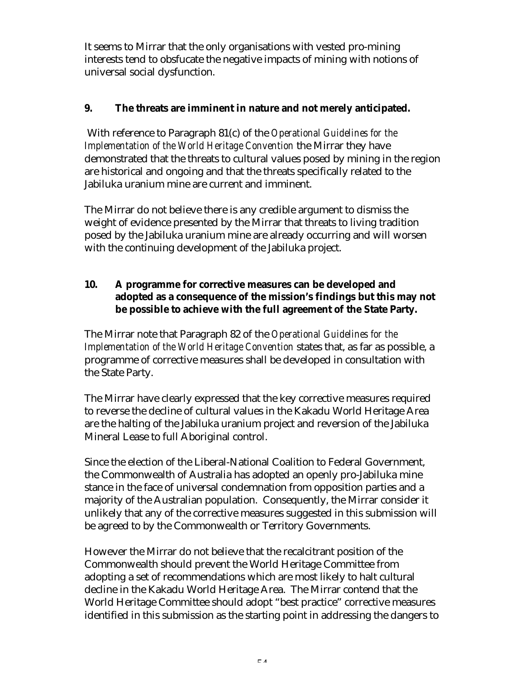It seems to Mirrar that the only organisations with vested pro-mining interests tend to obsfucate the negative impacts of mining with notions of universal social dysfunction.

## **9. The threats are imminent in nature and not merely anticipated.**

With reference to Paragraph 81(c) of the *Operational Guidelines for the Implementation of the World Heritage Convention* the Mirrar they have demonstrated that the threats to cultural values posed by mining in the region are historical and ongoing and that the threats specifically related to the Jabiluka uranium mine are current and imminent.

The Mirrar do not believe there is any credible argument to dismiss the weight of evidence presented by the Mirrar that threats to living tradition posed by the Jabiluka uranium mine are already occurring and will worsen with the continuing development of the Jabiluka project.

## **10. A programme for corrective measures can be developed and adopted as a consequence of the mission's findings but this may not be possible to achieve with the full agreement of the State Party.**

The Mirrar note that Paragraph 82 of the *Operational Guidelines for the Implementation of the World Heritage Convention* states that, as far as possible, a programme of corrective measures shall be developed in consultation with the State Party.

The Mirrar have clearly expressed that the key corrective measures required to reverse the decline of cultural values in the Kakadu World Heritage Area are the halting of the Jabiluka uranium project and reversion of the Jabiluka Mineral Lease to full Aboriginal control.

Since the election of the Liberal-National Coalition to Federal Government, the Commonwealth of Australia has adopted an openly pro-Jabiluka mine stance in the face of universal condemnation from opposition parties and a majority of the Australian population. Consequently, the Mirrar consider it unlikely that any of the corrective measures suggested in this submission will be agreed to by the Commonwealth or Territory Governments.

However the Mirrar do not believe that the recalcitrant position of the Commonwealth should prevent the World Heritage Committee from adopting a set of recommendations which are most likely to halt cultural decline in the Kakadu World Heritage Area. The Mirrar contend that the World Heritage Committee should adopt "best practice" corrective measures identified in this submission as the starting point in addressing the dangers to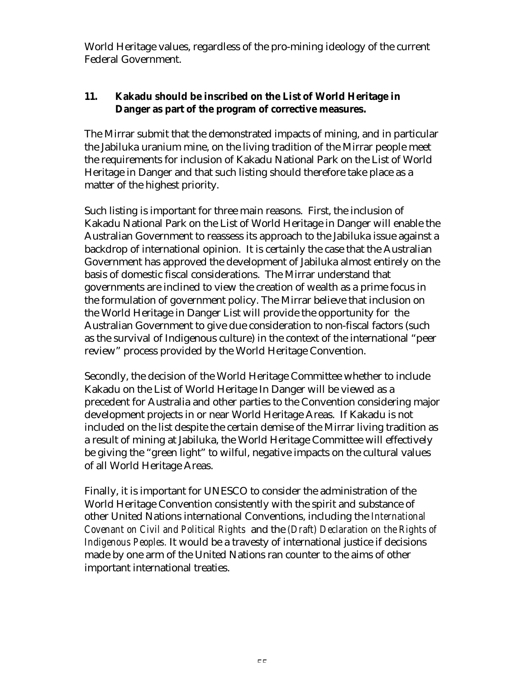World Heritage values, regardless of the pro-mining ideology of the current Federal Government.

## **11. Kakadu should be inscribed on the List of World Heritage in Danger as part of the program of corrective measures.**

The Mirrar submit that the demonstrated impacts of mining, and in particular the Jabiluka uranium mine, on the living tradition of the Mirrar people meet the requirements for inclusion of Kakadu National Park on the List of World Heritage in Danger and that such listing should therefore take place as a matter of the highest priority.

Such listing is important for three main reasons. First, the inclusion of Kakadu National Park on the List of World Heritage in Danger will enable the Australian Government to reassess its approach to the Jabiluka issue against a backdrop of international opinion. It is certainly the case that the Australian Government has approved the development of Jabiluka almost entirely on the basis of domestic fiscal considerations. The Mirrar understand that governments are inclined to view the creation of wealth as a prime focus in the formulation of government policy. The Mirrar believe that inclusion on the World Heritage in Danger List will provide the opportunity for the Australian Government to give due consideration to non-fiscal factors (such as the survival of Indigenous culture) in the context of the international "peer review" process provided by the World Heritage Convention.

Secondly, the decision of the World Heritage Committee whether to include Kakadu on the List of World Heritage In Danger will be viewed as a precedent for Australia and other parties to the Convention considering major development projects in or near World Heritage Areas. If Kakadu is not included on the list despite the certain demise of the Mirrar living tradition as a result of mining at Jabiluka, the World Heritage Committee will effectively be giving the "green light" to wilful, negative impacts on the cultural values of all World Heritage Areas.

Finally, it is important for UNESCO to consider the administration of the World Heritage Convention consistently with the spirit and substance of other United Nations international Conventions, including the *International Covenant on Civil and Political Rights* and the *(Draft) Declaration on the Rights of Indigenous Peoples.* It would be a travesty of international justice if decisions made by one arm of the United Nations ran counter to the aims of other important international treaties.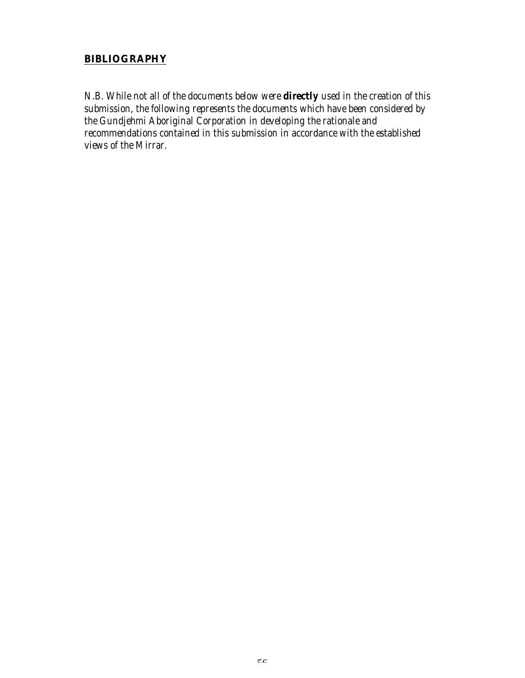## **BIBLIOGRAPHY**

*N.B. While not all of the documents below were directly used in the creation of this submission, the following represents the documents which have been considered by the Gundjehmi Aboriginal Corporation in developing the rationale and recommendations contained in this submission in accordance with the established views of the Mirrar.*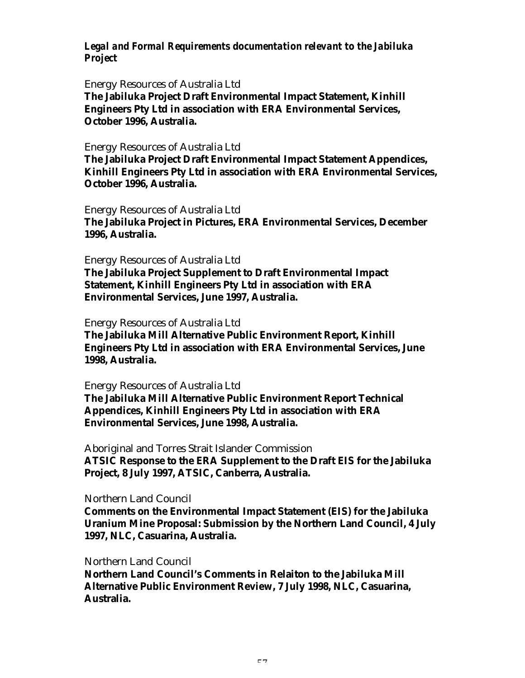## *Legal and Formal Requirements documentation relevant to the Jabiluka Project*

#### Energy Resources of Australia Ltd

**The Jabiluka Project Draft Environmental Impact Statement, Kinhill Engineers Pty Ltd in association with ERA Environmental Services, October 1996, Australia.**

#### Energy Resources of Australia Ltd

**The Jabiluka Project Draft Environmental Impact Statement Appendices, Kinhill Engineers Pty Ltd in association with ERA Environmental Services, October 1996, Australia.**

Energy Resources of Australia Ltd **The Jabiluka Project in Pictures, ERA Environmental Services, December 1996, Australia.**

Energy Resources of Australia Ltd

**The Jabiluka Project Supplement to Draft Environmental Impact Statement, Kinhill Engineers Pty Ltd in association with ERA Environmental Services, June 1997, Australia.**

Energy Resources of Australia Ltd

**The Jabiluka Mill Alternative Public Environment Report, Kinhill Engineers Pty Ltd in association with ERA Environmental Services, June 1998, Australia.**

#### Energy Resources of Australia Ltd

**The Jabiluka Mill Alternative Public Environment Report Technical Appendices, Kinhill Engineers Pty Ltd in association with ERA Environmental Services, June 1998, Australia.**

Aboriginal and Torres Strait Islander Commission **ATSIC Response to the ERA Supplement to the Draft EIS for the Jabiluka Project, 8 July 1997, ATSIC, Canberra, Australia.**

#### Northern Land Council

**Comments on the Environmental Impact Statement (EIS) for the Jabiluka Uranium Mine Proposal: Submission by the Northern Land Council, 4 July 1997, NLC, Casuarina, Australia.**

#### Northern Land Council

**Northern Land Council's Comments in Relaiton to the Jabiluka Mill Alternative Public Environment Review, 7 July 1998, NLC, Casuarina, Australia.**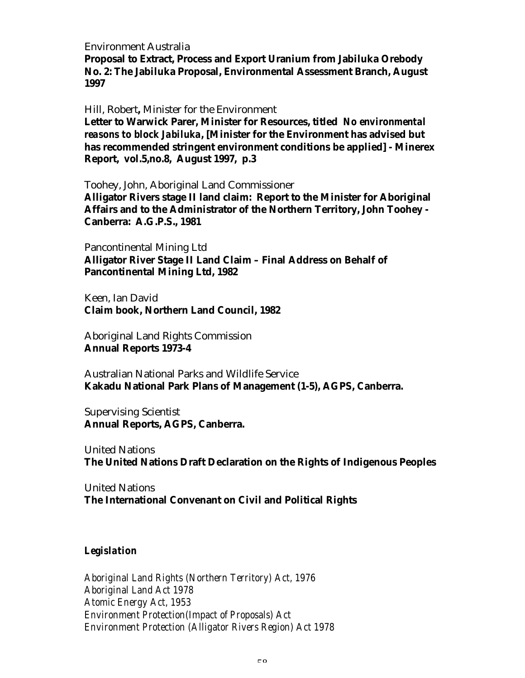Environment Australia

**Proposal to Extract, Process and Export Uranium from Jabiluka Orebody No. 2: The Jabiluka Proposal, Environmental Assessment Branch, August 1997**

Hill, Robert**,** Minister for the Environment

**Letter to Warwick Parer, Minister for Resources, titled** *No environmental reasons to block Jabiluka***, [Minister for the Environment has advised but has recommended stringent environment conditions be applied] - Minerex Report, vol.5,no.8, August 1997, p.3**

Toohey, John, Aboriginal Land Commissioner

**Alligator Rivers stage II land claim: Report to the Minister for Aboriginal Affairs and to the Administrator of the Northern Territory, John Toohey - Canberra: A.G.P.S., 1981**

Pancontinental Mining Ltd

**Alligator River Stage II Land Claim – Final Address on Behalf of Pancontinental Mining Ltd, 1982**

Keen, Ian David **Claim book, Northern Land Council, 1982**

Aboriginal Land Rights Commission **Annual Reports 1973-4**

Australian National Parks and Wildlife Service **Kakadu National Park Plans of Management (1-5), AGPS, Canberra.**

Supervising Scientist **Annual Reports, AGPS, Canberra.**

United Nations **The United Nations Draft Declaration on the Rights of Indigenous Peoples**

United Nations **The International Convenant on Civil and Political Rights**

#### *Legislation*

*Aboriginal Land Rights (Northern Territory) Act, 1976 Aboriginal Land Act 1978 Atomic Energy Act, 1953 Environment Protection(Impact of Proposals) Act Environment Protection (Alligator Rivers Region) Act 1978*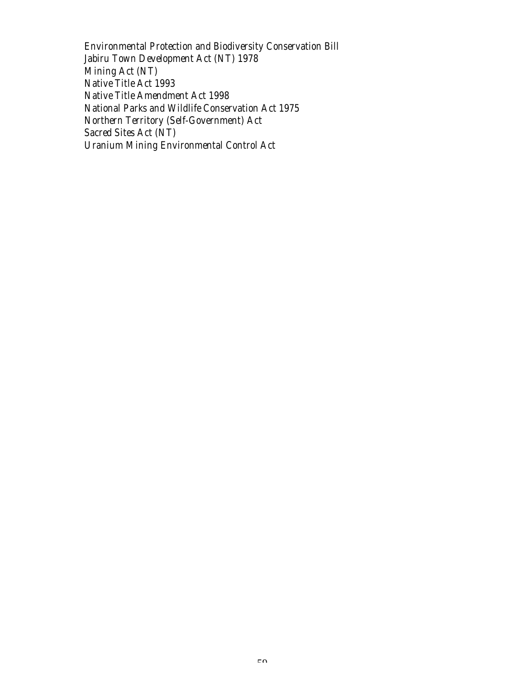*Environmental Protection and Biodiversity Conservation Bill Jabiru Town Development Act (NT) 1978 Mining Act (NT) Native Title Act 1993 Native Title Amendment Act 1998 National Parks and Wildlife Conservation Act 1975 Northern Territory (Self-Government) Act Sacred Sites Act (NT) Uranium Mining Environmental Control Act*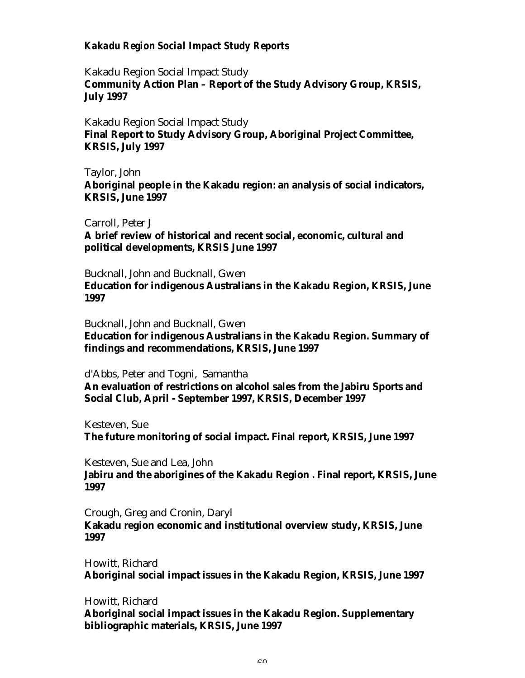## *Kakadu Region Social Impact Study Reports*

Kakadu Region Social Impact Study **Community Action Plan – Report of the Study Advisory Group, KRSIS, July 1997**

Kakadu Region Social Impact Study **Final Report to Study Advisory Group, Aboriginal Project Committee, KRSIS, July 1997**

Taylor, John

**Aboriginal people in the Kakadu region: an analysis of social indicators, KRSIS, June 1997**

Carroll, Peter J **A brief review of historical and recent social, economic, cultural and political developments, KRSIS June 1997**

Bucknall, John and Bucknall, Gwen

**Education for indigenous Australians in the Kakadu Region, KRSIS, June 1997**

Bucknall, John and Bucknall, Gwen

**Education for indigenous Australians in the Kakadu Region. Summary of findings and recommendations, KRSIS, June 1997**

d'Abbs, Peter and Togni, Samantha

**An evaluation of restrictions on alcohol sales from the Jabiru Sports and Social Club, April - September 1997, KRSIS, December 1997**

Kesteven, Sue

**The future monitoring of social impact. Final report, KRSIS, June 1997**

Kesteven, Sue and Lea, John

**Jabiru and the aborigines of the Kakadu Region . Final report, KRSIS, June 1997**

Crough, Greg and Cronin, Daryl **Kakadu region economic and institutional overview study, KRSIS, June**

**1997**

Howitt, Richard **Aboriginal social impact issues in the Kakadu Region, KRSIS, June 1997**

Howitt, Richard

**Aboriginal social impact issues in the Kakadu Region. Supplementary bibliographic materials, KRSIS, June 1997**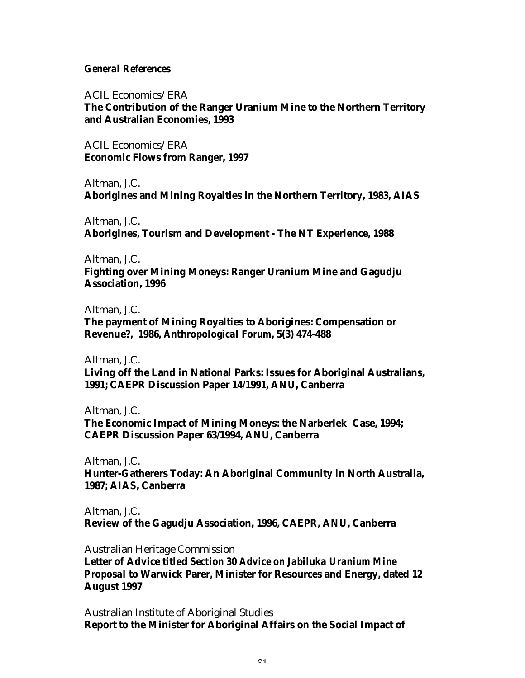#### *General References*

ACIL Economics/ERA

**The Contribution of the Ranger Uranium Mine to the Northern Territory and Australian Economies, 1993**

ACIL Economics/ERA **Economic Flows from Ranger, 1997**

Altman, J.C. **Aborigines and Mining Royalties in the Northern Territory, 1983, AIAS**

Altman, J.C. **Aborigines, Tourism and Development - The NT Experience, 1988**

Altman, J.C.

**Fighting over Mining Moneys: Ranger Uranium Mine and Gagudju Association, 1996**

Altman, J.C.

**The payment of Mining Royalties to Aborigines: Compensation or Revenue?, 1986,** *Anthropological Forum***, 5(3) 474-488**

Altman, J.C. **Living off the Land in National Parks: Issues for Aboriginal Australians, 1991; CAEPR Discussion Paper 14/1991, ANU, Canberra**

Altman, J.C. **The Economic Impact of Mining Moneys: the Narberlek Case, 1994; CAEPR Discussion Paper 63/1994, ANU, Canberra**

Altman, J.C. **Hunter-Gatherers Today: An Aboriginal Community in North Australia, 1987; AIAS, Canberra**

Altman, J.C. **Review of the Gagudju Association, 1996, CAEPR, ANU, Canberra**

Australian Heritage Commission

**Letter of Advice titled** *Section 30 Advice on Jabiluka Uranium Mine Proposal* **to Warwick Parer, Minister for Resources and Energy, dated 12 August 1997**

Australian Institute of Aboriginal Studies **Report to the Minister for Aboriginal Affairs on the Social Impact of**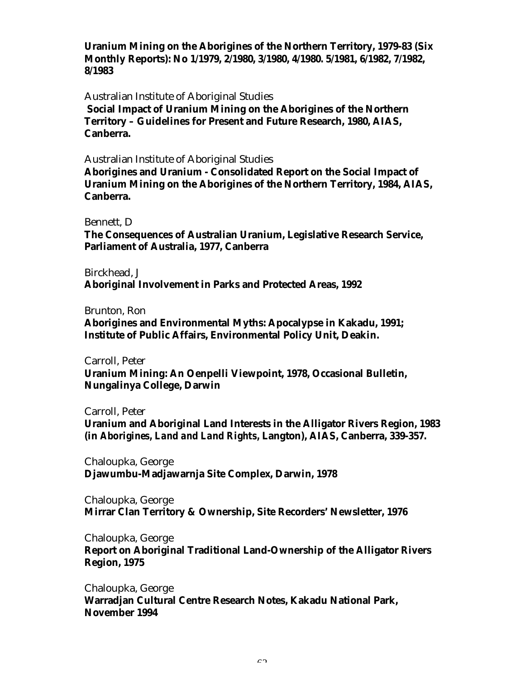**Uranium Mining on the Aborigines of the Northern Territory, 1979-83 (Six Monthly Reports): No 1/1979, 2/1980, 3/1980, 4/1980. 5/1981, 6/1982, 7/1982, 8/1983**

Australian Institute of Aboriginal Studies

 **Social Impact of Uranium Mining on the Aborigines of the Northern Territory – Guidelines for Present and Future Research, 1980, AIAS, Canberra.**

Australian Institute of Aboriginal Studies

**Aborigines and Uranium - Consolidated Report on the Social Impact of Uranium Mining on the Aborigines of the Northern Territory, 1984, AIAS, Canberra.**

Bennett, D

**The Consequences of Australian Uranium, Legislative Research Service, Parliament of Australia, 1977, Canberra**

Birckhead, J

**Aboriginal Involvement in Parks and Protected Areas, 1992**

Brunton, Ron

**Aborigines and Environmental Myths: Apocalypse in Kakadu, 1991; Institute of Public Affairs, Environmental Policy Unit, Deakin.**

Carroll, Peter **Uranium Mining: An Oenpelli Viewpoint, 1978, Occasional Bulletin, Nungalinya College, Darwin**

Carroll, Peter

**Uranium and Aboriginal Land Interests in the Alligator Rivers Region, 1983 (in** *Aborigines, Land and Land Rights,* **Langton), AIAS, Canberra, 339-357.**

Chaloupka, George **Djawumbu-Madjawarnja Site Complex, Darwin, 1978**

Chaloupka, George **Mirrar Clan Territory & Ownership, Site Recorders' Newsletter, 1976**

Chaloupka, George **Report on Aboriginal Traditional Land-Ownership of the Alligator Rivers Region, 1975**

Chaloupka, George **Warradjan Cultural Centre Research Notes, Kakadu National Park, November 1994**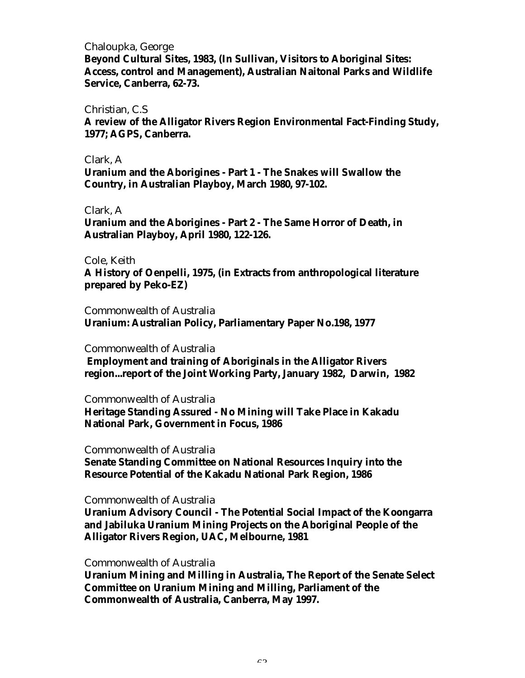#### Chaloupka, George

**Beyond Cultural Sites, 1983, (In Sullivan, Visitors to Aboriginal Sites: Access, control and Management), Australian Naitonal Parks and Wildlife Service, Canberra, 62-73.**

#### Christian, C.S

**A review of the Alligator Rivers Region Environmental Fact-Finding Study, 1977; AGPS, Canberra.**

#### Clark, A

**Uranium and the Aborigines - Part 1 - The Snakes will Swallow the Country, in Australian Playboy, March 1980, 97-102.**

#### Clark, A

**Uranium and the Aborigines - Part 2 - The Same Horror of Death, in Australian Playboy, April 1980, 122-126.**

#### Cole, Keith

**A History of Oenpelli, 1975, (in Extracts from anthropological literature prepared by Peko-EZ)**

#### Commonwealth of Australia

**Uranium: Australian Policy, Parliamentary Paper No.198, 1977**

#### Commonwealth of Australia

 **Employment and training of Aboriginals in the Alligator Rivers region...report of the Joint Working Party, January 1982, Darwin, 1982**

Commonwealth of Australia

**Heritage Standing Assured - No Mining will Take Place in Kakadu National Park, Government in Focus, 1986**

#### Commonwealth of Australia

**Senate Standing Committee on National Resources Inquiry into the Resource Potential of the Kakadu National Park Region, 1986**

#### Commonwealth of Australia

**Uranium Advisory Council - The Potential Social Impact of the Koongarra and Jabiluka Uranium Mining Projects on the Aboriginal People of the Alligator Rivers Region, UAC, Melbourne, 1981**

#### Commonwealth of Australia

**Uranium Mining and Milling in Australia, The Report of the Senate Select Committee on Uranium Mining and Milling, Parliament of the Commonwealth of Australia, Canberra, May 1997.**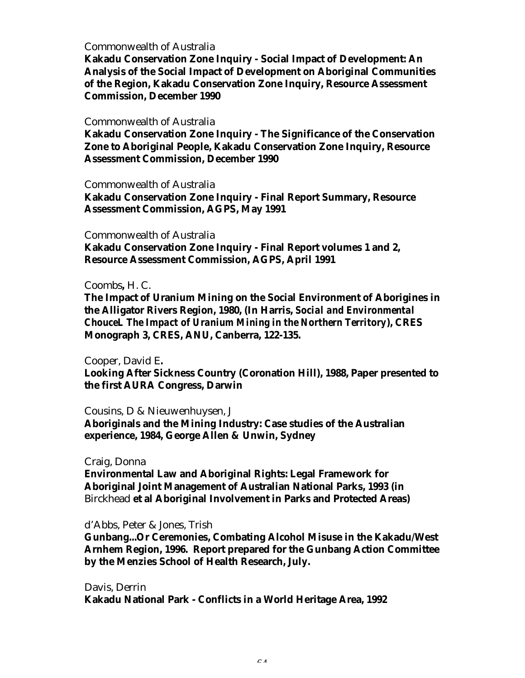#### Commonwealth of Australia

**Kakadu Conservation Zone Inquiry - Social Impact of Development: An Analysis of the Social Impact of Development on Aboriginal Communities of the Region, Kakadu Conservation Zone Inquiry, Resource Assessment Commission, December 1990**

#### Commonwealth of Australia

**Kakadu Conservation Zone Inquiry - The Significance of the Conservation Zone to Aboriginal People, Kakadu Conservation Zone Inquiry, Resource Assessment Commission, December 1990**

Commonwealth of Australia

**Kakadu Conservation Zone Inquiry - Final Report Summary, Resource Assessment Commission, AGPS, May 1991**

#### Commonwealth of Australia

**Kakadu Conservation Zone Inquiry - Final Report volumes 1 and 2, Resource Assessment Commission, AGPS, April 1991**

#### Coombs**,** H. C.

**The Impact of Uranium Mining on the Social Environment of Aborigines in the Alligator Rivers Region, 1980, (In Harris,** *Social and Environmental ChouceL The Impact of Uranium Mining in the Northern Territory***), CRES Monograph 3, CRES, ANU, Canberra, 122-135.**

#### Cooper, David E**.**

**Looking After Sickness Country (Coronation Hill), 1988, Paper presented to the first AURA Congress, Darwin**

Cousins, D & Nieuwenhuysen, J

**Aboriginals and the Mining Industry: Case studies of the Australian experience, 1984, George Allen & Unwin, Sydney**

#### Craig, Donna

**Environmental Law and Aboriginal Rights: Legal Framework for Aboriginal Joint Management of Australian National Parks, 1993 (in** Birckhead **et al Aboriginal Involvement in Parks and Protected Areas)**

#### d'Abbs, Peter & Jones, Trish

**Gunbang...Or Ceremonies, Combating Alcohol Misuse in the Kakadu/West Arnhem Region, 1996. Report prepared for the Gunbang Action Committee by the Menzies School of Health Research, July.**

Davis, Derrin **Kakadu National Park - Conflicts in a World Heritage Area, 1992**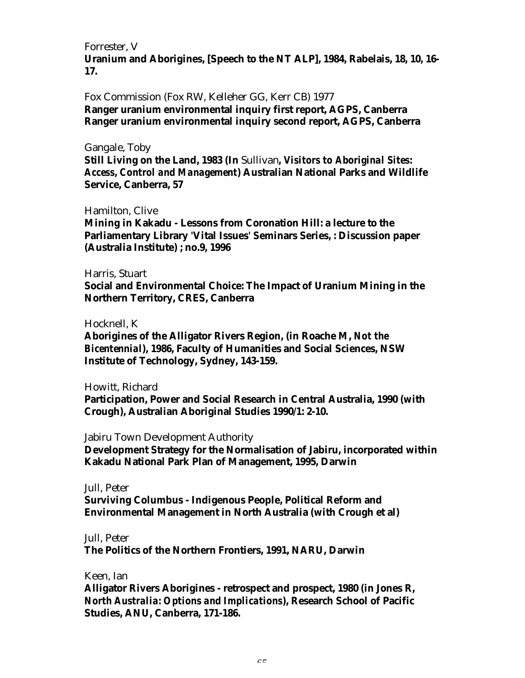Forrester, V **Uranium and Aborigines, [Speech to the NT ALP], 1984, Rabelais, 18, 10, 16- 17.**

Fox Commission (Fox RW, Kelleher GG, Kerr CB) 1977 **Ranger uranium environmental inquiry first report, AGPS, Canberra Ranger uranium environmental inquiry second report, AGPS, Canberra**

#### Gangale, Toby

**Still Living on the Land, 1983 (In** Sullivan*, Visitors to Aboriginal Sites: Access, Control and Management***) Australian National Parks and Wildlife Service, Canberra, 57**

#### Hamilton, Clive

**Mining in Kakadu - Lessons from Coronation Hill: a lecture to the Parliamentary Library 'Vital Issues' Seminars Series, : Discussion paper (Australia Institute) ; no.9, 1996**

#### Harris, Stuart

**Social and Environmental Choice: The Impact of Uranium Mining in the Northern Territory, CRES, Canberra**

#### Hocknell, K

**Aborigines of the Alligator Rivers Region, (in Roache M,** *Not the Bicentennial***), 1986, Faculty of Humanities and Social Sciences, NSW Institute of Technology, Sydney, 143-159.**

#### Howitt, Richard

**Participation, Power and Social Research in Central Australia, 1990 (with Crough), Australian Aboriginal Studies 1990/1: 2-10.**

Jabiru Town Development Authority

**Development Strategy for the Normalisation of Jabiru, incorporated within Kakadu National Park Plan of Management, 1995, Darwin**

Jull, Peter **Surviving Columbus - Indigenous People, Political Reform and Environmental Management in North Australia (with Crough et al)**

## Jull, Peter

**The Politics of the Northern Frontiers, 1991, NARU, Darwin**

#### Keen, Ian

**Alligator Rivers Aborigines - retrospect and prospect, 1980 (in Jones R,** *North Australia: Options and Implications***), Research School of Pacific Studies, ANU, Canberra, 171-186.**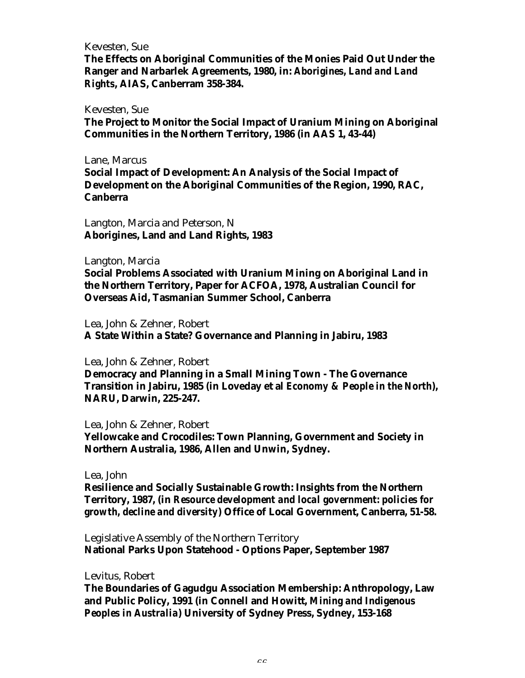#### Kevesten, Sue

**The Effects on Aboriginal Communities of the Monies Paid Out Under the Ranger and Narbarlek Agreements, 1980, in:** *Aborigines, Land and Land Rights***, AIAS, Canberram 358-384.**

#### Kevesten, Sue

**The Project to Monitor the Social Impact of Uranium Mining on Aboriginal Communities in the Northern Territory, 1986 (in AAS 1, 43-44)**

Lane, Marcus

**Social Impact of Development: An Analysis of the Social Impact of Development on the Aboriginal Communities of the Region, 1990, RAC, Canberra**

Langton, Marcia and Peterson, N **Aborigines, Land and Land Rights, 1983**

#### Langton, Marcia

**Social Problems Associated with Uranium Mining on Aboriginal Land in the Northern Territory, Paper for ACFOA, 1978, Australian Council for Overseas Aid, Tasmanian Summer School, Canberra**

#### Lea, John & Zehner, Robert

**A State Within a State? Governance and Planning in Jabiru, 1983**

Lea, John & Zehner, Robert

**Democracy and Planning in a Small Mining Town - The Governance Transition in Jabiru, 1985 (in Loveday et al** *Economy & People in the North***), NARU, Darwin, 225-247.**

Lea, John & Zehner, Robert

**Yellowcake and Crocodiles: Town Planning, Government and Society in Northern Australia, 1986, Allen and Unwin, Sydney.**

Lea, John

**Resilience and Socially Sustainable Growth: Insights from the Northern Territory, 1987, (in** *Resource development and local government: policies for growth, decline and diversity***) Office of Local Government, Canberra, 51-58.**

Legislative Assembly of the Northern Territory **National Parks Upon Statehood - Options Paper, September 1987**

Levitus, Robert

**The Boundaries of Gagudgu Association Membership: Anthropology, Law and Public Policy, 1991 (in Connell and Howitt,** *Mining and Indigenous Peoples in Australia***) University of Sydney Press, Sydney, 153-168**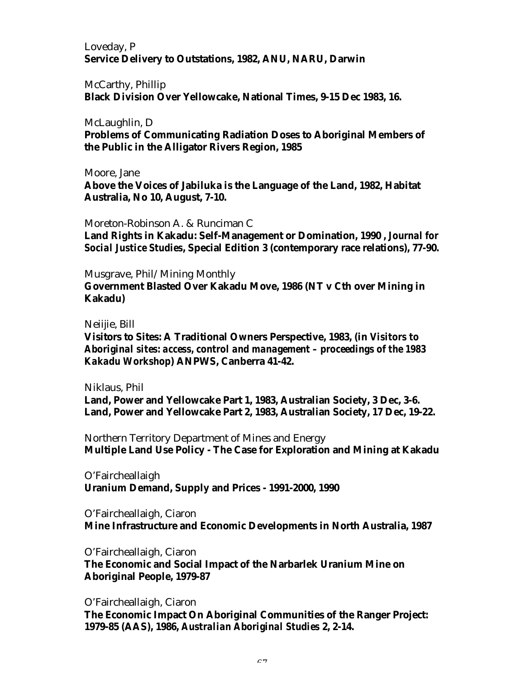Loveday, P **Service Delivery to Outstations, 1982, ANU, NARU, Darwin**

McCarthy, Phillip **Black Division Over Yellowcake, National Times, 9-15 Dec 1983, 16.**

McLaughlin, D

**Problems of Communicating Radiation Doses to Aboriginal Members of the Public in the Alligator Rivers Region, 1985**

Moore, Jane

**Above the Voices of Jabiluka is the Language of the Land, 1982, Habitat Australia, No 10, August, 7-10.**

Moreton-Robinson A. & Runciman C **Land Rights in Kakadu: Self-Management or Domination, 1990 ,** *Journal for Social Justice Studies***, Special Edition 3 (contemporary race relations), 77-90.**

Musgrave, Phil/Mining Monthly **Government Blasted Over Kakadu Move, 1986 (NT v Cth over Mining in Kakadu)**

Neiijie, Bill

**Visitors to Sites: A Traditional Owners Perspective, 1983, (in** *Visitors to Aboriginal sites: access, control and management – proceedings of the 1983 Kakadu Workshop***) ANPWS, Canberra 41-42.**

Niklaus, Phil

**Land, Power and Yellowcake Part 1, 1983, Australian Society, 3 Dec, 3-6. Land, Power and Yellowcake Part 2, 1983, Australian Society, 17 Dec, 19-22.**

Northern Territory Department of Mines and Energy **Multiple Land Use Policy - The Case for Exploration and Mining at Kakadu**

O'Faircheallaigh **Uranium Demand, Supply and Prices - 1991-2000, 1990**

O'Faircheallaigh, Ciaron **Mine Infrastructure and Economic Developments in North Australia, 1987**

O'Faircheallaigh, Ciaron

**The Economic and Social Impact of the Narbarlek Uranium Mine on Aboriginal People, 1979-87**

O'Faircheallaigh, Ciaron

**The Economic Impact On Aboriginal Communities of the Ranger Project: 1979-85 (AAS), 1986,** *Australian Aboriginal Studies* **2, 2-14.**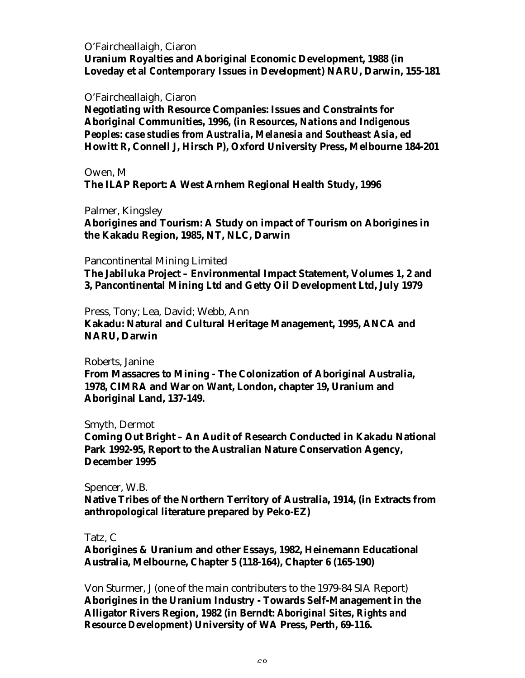O'Faircheallaigh, Ciaron **Uranium Royalties and Aboriginal Economic Development, 1988 (in Loveday et al** *Contemporary Issues in Development***) NARU, Darwin, 155-181**

#### O'Faircheallaigh, Ciaron

**Negotiating with Resource Companies: Issues and Constraints for Aboriginal Communities, 1996, (in** *Resources, Nations and Indigenous Peoples: case studies from Australia, Melanesia and Southeast Asia***, ed Howitt R, Connell J, Hirsch P), Oxford University Press, Melbourne 184-201**

Owen, M **The ILAP Report: A West Arnhem Regional Health Study, 1996**

Palmer, Kingsley

**Aborigines and Tourism: A Study on impact of Tourism on Aborigines in the Kakadu Region, 1985, NT, NLC, Darwin**

#### Pancontinental Mining Limited

**The Jabiluka Project – Environmental Impact Statement, Volumes 1, 2 and 3, Pancontinental Mining Ltd and Getty Oil Development Ltd, July 1979**

Press, Tony; Lea, David; Webb, Ann

**Kakadu: Natural and Cultural Heritage Management, 1995, ANCA and NARU, Darwin**

Roberts, Janine

**From Massacres to Mining - The Colonization of Aboriginal Australia, 1978, CIMRA and War on Want, London, chapter 19, Uranium and Aboriginal Land, 137-149.**

Smyth, Dermot

**Coming Out Bright – An Audit of Research Conducted in Kakadu National Park 1992-95, Report to the Australian Nature Conservation Agency, December 1995**

#### Spencer, W.B.

**Native Tribes of the Northern Territory of Australia, 1914, (in Extracts from anthropological literature prepared by Peko-EZ)**

#### Tatz, C

**Aborigines & Uranium and other Essays, 1982, Heinemann Educational Australia, Melbourne, Chapter 5 (118-164), Chapter 6 (165-190)**

Von Sturmer, J (one of the main contributers to the 1979-84 SIA Report) **Aborigines in the Uranium Industry - Towards Self-Management in the Alligator Rivers Region, 1982 (in Berndt:** *Aboriginal Sites, Rights and Resource Development***) University of WA Press, Perth, 69-116.**